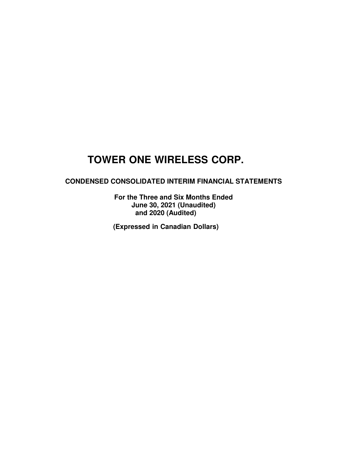### **CONDENSED CONSOLIDATED INTERIM FINANCIAL STATEMENTS**

**For the Three and Six Months Ended June 30, 2021 (Unaudited) and 2020 (Audited)** 

**(Expressed in Canadian Dollars)**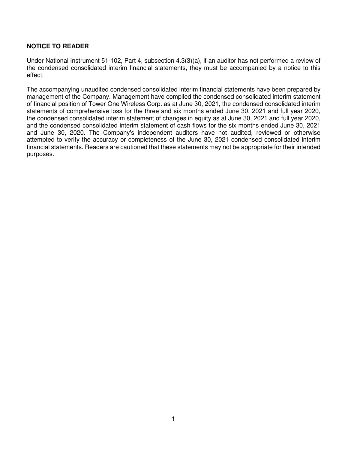### **NOTICE TO READER**

Under National Instrument 51-102, Part 4, subsection 4.3(3)(a), if an auditor has not performed a review of the condensed consolidated interim financial statements, they must be accompanied by a notice to this effect.

The accompanying unaudited condensed consolidated interim financial statements have been prepared by management of the Company. Management have compiled the condensed consolidated interim statement of financial position of Tower One Wireless Corp. as at June 30, 2021, the condensed consolidated interim statements of comprehensive loss for the three and six months ended June 30, 2021 and full year 2020, the condensed consolidated interim statement of changes in equity as at June 30, 2021 and full year 2020, and the condensed consolidated interim statement of cash flows for the six months ended June 30, 2021 and June 30, 2020. The Company's independent auditors have not audited, reviewed or otherwise attempted to verify the accuracy or completeness of the June 30, 2021 condensed consolidated interim financial statements. Readers are cautioned that these statements may not be appropriate for their intended purposes.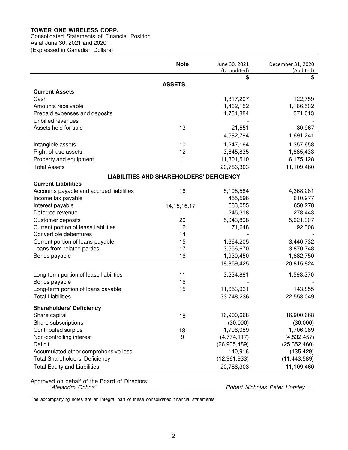### Consolidated Statements of Financial Position

As at June 30, 2021 and 2020 (Expressed in Canadian Dollars)

**Note** June 30, 2021 (Unaudited) December 31, 2020 (Audited) **\$ \$ ASSETS Current Assets**  Cash 1,317,207 122,759 Amounts receivable 1,462,152 1,166,502 Prepaid expenses and deposits 1,781,884 371,013 Unbilled revenues Assets held for sale 13 13 21,551 30,967 4,582,794 1,691,241 Intangible assets 10 1,247,164 1,357,658 Right-of-use assets 12 3,645,835 1,885,433 Property and equipment 11 11 11,301,510 6,175,128 Total Assets 20,786,303 11,109,460 **LIABILITIES AND SHAREHOLDERS' DEFICIENCY Current Liabilities**  Accounts payable and accrued liabilities 16 16 5,108,584 4,368,281 Income tax payable 610,977 Interest payable 14,15,16,17 683,055 650,278 Deferred revenue 245,318 278,443 Customer deposits 20 5,043,898 5,621,307 Current portion of lease liabilities 12 12 171,648 92,308 Convertible debentures and the state of the 14 Current portion of loans payable 15 1,664,205 3,440,732 Loans from related parties 17 17 3,556,670 3,870,748 Bonds payable 1,882,750 16 1,930,450 1,882,750 18,859,425 20,815,824 Long-term portion of lease liabilities 11 3,234,881 1,593,370 Bonds payable 16 - - Long-term portion of loans payable 15 11,653,931 143,855 Total Liabilities 33,748,236 22,553,049 **Shareholders' Deficiency**  ٦ Share capital 16,900,668 18 16,900,668 16,900,668 16,900,668 Share subscriptions (30,000) (30,000) (30,000) (30,000) Contributed surplus 18 1,706,089 1,706,089 Non-controlling interest 1.1 and 1.532,457 (4,774,117) (4,532,457) Deficit (26,905,489) (25,352,460) Accumulated other comprehensive loss 140,916 (135,429) Total Shareholders' Deficiency (12,961,933) (11,443,589) Total Equity and Liabilities 20,786,303 11,109,460

Approved on behalf of the Board of Directors:<br>"Alejandro Ochoa"

"Robert Nicholas Peter Horsley"

The accompanying notes are an integral part of these consolidated financial statements.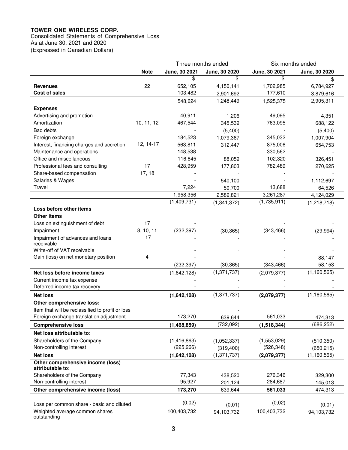Consolidated Statements of Comprehensive Loss As at June 30, 2021 and 2020 (Expressed in Canadian Dollars)

|                                                  |             |               | Three months ended |               | Six months ended   |
|--------------------------------------------------|-------------|---------------|--------------------|---------------|--------------------|
|                                                  | <b>Note</b> | June, 30 2021 | June, 30 2020      | June, 30 2021 | June, 30 2020      |
|                                                  |             | \$            | \$                 | \$            |                    |
| <b>Revenues</b>                                  | 22          | 652,105       | 4,150,141          | 1,702,985     | 6,784,927          |
| Cost of sales                                    |             | 103,482       | 2,901,692          | 177,610       | 3,879,616          |
|                                                  |             | 548,624       | 1,248,449          | 1,525,375     | 2,905,311          |
| <b>Expenses</b>                                  |             |               |                    |               |                    |
| Advertising and promotion                        |             | 40,911        | 1,206              | 49,095        | 4,351              |
| Amortization                                     | 10, 11, 12  | 467,544       | 345,539            | 763,095       | 688,122            |
| <b>Bad debts</b>                                 |             |               | (5,400)            |               | (5,400)            |
| Foreign exchange                                 |             | 184,523       | 1,079,367          | 345,032       | 1,007,904          |
| Interest, financing charges and accretion        | 12, 14-17   | 563,811       | 312,447            | 875,006       | 654,753            |
| Maintenance and operations                       |             | 148,538       |                    | 330,562       |                    |
| Office and miscellaneous                         |             | 116,845       | 88,059             | 102,320       | 326,451            |
| Professional fees and consulting                 | 17          | 428,959       | 177,803            | 782,489       | 270,625            |
| Share-based compensation                         | 17, 18      |               |                    |               |                    |
| Salaries & Wages                                 |             |               | 540,100            |               | 1,112,697          |
| Travel                                           |             | 7,224         | 50,700             | 13,688        | 64,526             |
|                                                  |             | 1,958,356     | 2,589,821          | 3,261,287     | 4,124,029          |
|                                                  |             | (1,409,731)   | (1,341,372)        | (1,735,911)   | (1,218,718)        |
| Loss before other items                          |             |               |                    |               |                    |
| <b>Other items</b>                               |             |               |                    |               |                    |
| Loss on extinguishment of debt                   | 17          |               |                    |               |                    |
| Impairment                                       | 8, 10, 11   | (232, 397)    | (30, 365)          | (343, 466)    | (29, 994)          |
| Impairment of advances and loans                 | 17          |               |                    |               |                    |
| receivable                                       |             |               |                    |               |                    |
| Write-off of VAT receivable                      |             |               |                    |               |                    |
| Gain (loss) on net monetary position             | 4           |               |                    |               | 88,147             |
|                                                  |             | (232, 397)    | (30, 365)          | (343, 466)    | 58,153             |
| Net loss before income taxes                     |             | (1,642,128)   | (1, 371, 737)      | (2,079,377)   | (1, 160, 565)      |
| Current income tax expense                       |             |               |                    |               |                    |
| Deferred income tax recovery                     |             |               |                    |               |                    |
| <b>Net loss</b>                                  |             | (1,642,128)   | (1, 371, 737)      | (2,079,377)   | (1, 160, 565)      |
| Other comprehensive loss:                        |             |               |                    |               |                    |
| Item that will be reclassified to profit or loss |             |               |                    |               |                    |
| Foreign exchange translation adjustment          |             | 173,270       | 639,644            | 561,033       | 474,313            |
| <b>Comprehensive loss</b>                        |             | (1,468,859)   | (732,092)          | (1,518,344)   | (686, 252)         |
| Net loss attributable to:                        |             |               |                    |               |                    |
| Shareholders of the Company                      |             | (1,416,863)   | (1,052,337)        | (1,553,029)   | (510, 350)         |
| Non-controlling interest                         |             | (225, 266)    | (319, 400)         | (526, 348)    | (650, 215)         |
| <b>Net loss</b>                                  |             | (1,642,128)   | (1, 371, 737)      | (2,079,377)   | (1, 160, 565)      |
| Other comprehensive income (loss)                |             |               |                    |               |                    |
| attributable to:<br>Shareholders of the Company  |             | 77,343        |                    | 276,346       |                    |
| Non-controlling interest                         |             | 95,927        | 438,520            | 284,687       | 329,300            |
| Other comprehensive income (loss)                |             |               | 201,124<br>639,644 |               | 145,013<br>474,313 |
|                                                  |             | 173,270       |                    | 561,033       |                    |
| Loss per common share - basic and diluted        |             | (0,02)        | (0, 01)            | (0,02)        | (0.01)             |
| Weighted average common shares                   |             | 100,403,732   | 94,103,732         | 100,403,732   | 94,103,732         |
| outstanding                                      |             |               |                    |               |                    |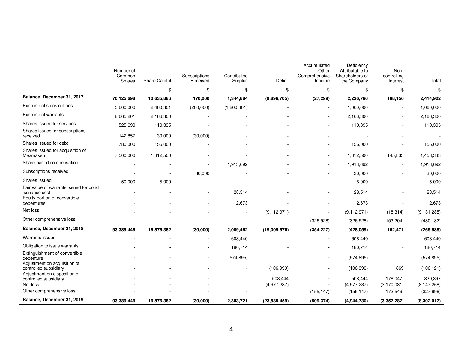|                                                                                          | Number of<br>Common<br>Shares | <b>Share Capital</b> | Subscriptions<br>Received | Contributed<br>Surplus | Deficit                | Accumulated<br>Other<br>Comprehensive<br>Income | Deficiency<br>Attributable to<br>Shareholders of<br>the Company | Non-<br>controlling<br>Interest | Total                    |
|------------------------------------------------------------------------------------------|-------------------------------|----------------------|---------------------------|------------------------|------------------------|-------------------------------------------------|-----------------------------------------------------------------|---------------------------------|--------------------------|
|                                                                                          |                               | \$                   | \$                        | \$                     | \$                     | \$                                              | \$                                                              | \$                              | \$                       |
| Balance, December 31, 2017                                                               | 70,125,698                    | 10,635,886           | 170,000                   | 1,344,884              | (9,896,705)            | (27, 299)                                       | 2,226,766                                                       | 188,156                         | 2,414,922                |
| Exercise of stock options                                                                | 5,600,000                     | 2,460,301            | (200,000)                 | (1,200,301)            |                        | $\overline{\phantom{a}}$                        | 1,060,000                                                       | $\overline{\phantom{a}}$        | 1,060,000                |
| Exercise of warrants                                                                     | 8,665,201                     | 2,166,300            |                           |                        |                        | $\blacksquare$                                  | 2,166,300                                                       |                                 | 2,166,300                |
| Shares issued for services                                                               | 525,690                       | 110,395              |                           |                        |                        | $\blacksquare$                                  | 110,395                                                         |                                 | 110,395                  |
| Shares issued for subscriptions<br>received                                              | 142,857                       | 30,000               | (30,000)                  |                        |                        | $\overline{\phantom{a}}$                        |                                                                 |                                 |                          |
| Shares issued for debt                                                                   | 780,000                       | 156,000              |                           |                        |                        | $\overline{\phantom{a}}$                        | 156,000                                                         |                                 | 156,000                  |
| Shares issued for acquisition of<br>Mexmaken                                             | 7,500,000                     | 1,312,500            |                           |                        |                        | $\overline{\phantom{a}}$                        | 1,312,500                                                       | 145,833                         | 1,458,333                |
| Share-based compensation                                                                 |                               |                      |                           | 1,913,692              |                        | $\blacksquare$                                  | 1,913,692                                                       |                                 | 1,913,692                |
| Subscriptions received                                                                   |                               |                      | 30,000                    |                        |                        |                                                 | 30,000                                                          |                                 | 30,000                   |
| Shares issued                                                                            | 50,000                        | 5,000                |                           |                        |                        |                                                 | 5,000                                                           |                                 | 5,000                    |
| Fair value of warrants issued for bond<br>issuance cost<br>Equity portion of convertible |                               |                      |                           | 28,514                 |                        | $\blacksquare$                                  | 28,514                                                          |                                 | 28,514                   |
| debentures                                                                               |                               |                      |                           | 2,673                  |                        | $\overline{\phantom{a}}$                        | 2,673                                                           |                                 | 2,673                    |
| Net loss                                                                                 |                               |                      |                           |                        | (9, 112, 971)          | $\blacksquare$                                  | (9, 112, 971)                                                   | (18, 314)                       | (9, 131, 285)            |
| Other comprehensive loss                                                                 |                               |                      |                           |                        |                        | (326, 928)                                      | (326, 928)                                                      | (153, 204)                      | (480, 132)               |
| Balance, December 31, 2018                                                               | 93,389,446                    | 16,876,382           | (30,000)                  | 2,089,462              | (19,009,676)           | (354, 227)                                      | (428, 059)                                                      | 162,471                         | (265, 588)               |
| Warrants issued                                                                          |                               |                      |                           | 608,440                |                        | $\blacksquare$                                  | 608,440                                                         |                                 | 608,440                  |
| Obligation to issue warrants                                                             |                               |                      |                           | 180,714                |                        | $\blacksquare$                                  | 180,714                                                         |                                 | 180,714                  |
| Extinguishment of convertible<br>debenture                                               |                               |                      |                           | (574, 895)             |                        | $\blacksquare$                                  | (574, 895)                                                      | $\overline{\phantom{a}}$        | (574, 895)               |
| Adjustment on acquisition of<br>controlled subsidiary<br>Adjustment on disposition of    |                               |                      |                           |                        | (106,990)              | $\blacksquare$                                  | (106,990)                                                       | 869                             | (106, 121)               |
| controlled subsidiary<br>Net loss                                                        |                               |                      |                           |                        | 508,444<br>(4,977,237) | $\blacksquare$<br>$\blacksquare$                | 508,444<br>(4,977,237)                                          | (178.047)<br>(3, 170, 031)      | 330,397<br>(8, 147, 268) |
| Other comprehensive loss                                                                 |                               |                      |                           |                        |                        | (155, 147)                                      | (155, 147)                                                      | (172, 549)                      | (327, 696)               |
| Balance, December 31, 2019                                                               | 93,389,446                    | 16,876,382           | (30,000)                  | 2,303,721              | (23, 585, 459)         | (509, 374)                                      | (4,944,730)                                                     | (3,357,287)                     | (8,302,017)              |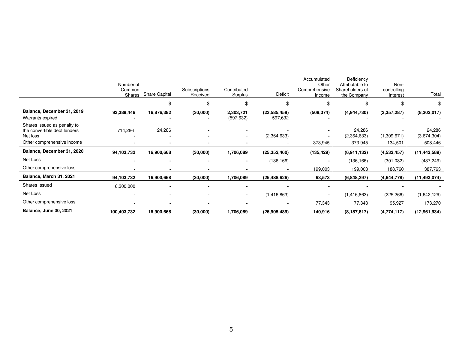|                                                                                                       | Number of<br>Common<br>Shares | <b>Share Capital</b> | Subscriptions<br>Received | Contributed<br>Surplus  | Deficit                   | Accumulated<br>Other<br>Comprehensive<br>Income | Deficiency<br>Attributable to<br>Shareholders of<br>the Company | Non-<br>controlling<br>Interest | Total                            |
|-------------------------------------------------------------------------------------------------------|-------------------------------|----------------------|---------------------------|-------------------------|---------------------------|-------------------------------------------------|-----------------------------------------------------------------|---------------------------------|----------------------------------|
|                                                                                                       |                               | ъ                    | \$                        |                         | \$                        |                                                 | \$                                                              | \$                              |                                  |
| Balance, December 31, 2019<br>Warrants expired                                                        | 93,389,446                    | 16,876,382           | (30,000)                  | 2,303,721<br>(597, 632) | (23, 585, 459)<br>597,632 | (509, 374)                                      | (4,944,730)                                                     | (3,357,287)                     | (8,302,017)                      |
| Shares issued as penalty to<br>the convertible debt lenders<br>Net loss<br>Other comprehensive income | 714,286                       | 24,286               |                           |                         | (2,364,633)               | 373,945                                         | 24,286<br>(2,364,633)<br>373,945                                | (1,309,671)<br>134,501          | 24,286<br>(3,674,304)<br>508,446 |
| Balance, December 31, 2020                                                                            | 94,103,732                    | 16,900,668           | (30,000)                  | 1,706,089               | (25, 352, 460)            | (135, 429)                                      | (6,911,132)                                                     | (4,532,457)                     | (11, 443, 589)                   |
| Net Loss                                                                                              |                               |                      |                           |                         | (136, 166)                |                                                 | (136, 166)                                                      | (301, 082)                      | (437, 249)                       |
| Other comprehensive loss                                                                              |                               | $\blacksquare$       | $\overline{\phantom{0}}$  |                         |                           | 199,003                                         | 199,003                                                         | 188,760                         | 387,763                          |
| Balance, March 31, 2021                                                                               | 94,103,732                    | 16,900,668           | (30,000)                  | 1,706,089               | (25, 488, 626)            | 63,573                                          | (6,848,297)                                                     | (4,644,778)                     | (11, 493, 074)                   |
| Shares Issued                                                                                         | 6,300,000                     |                      |                           |                         |                           |                                                 |                                                                 |                                 |                                  |
| Net Loss                                                                                              |                               | $\blacksquare$       |                           | $\blacksquare$          | (1,416,863)               |                                                 | (1, 416, 863)                                                   | (225, 266)                      | (1,642,129)                      |
| Other comprehensive loss                                                                              |                               |                      |                           |                         |                           | 77,343                                          | 77,343                                                          | 95,927                          | 173,270                          |
| <b>Balance, June 30, 2021</b>                                                                         | 100,403,732                   | 16,900,668           | (30,000)                  | 1,706,089               | (26,905,489)              | 140,916                                         | (8, 187, 817)                                                   | (4,774,117)                     | (12,961,934)                     |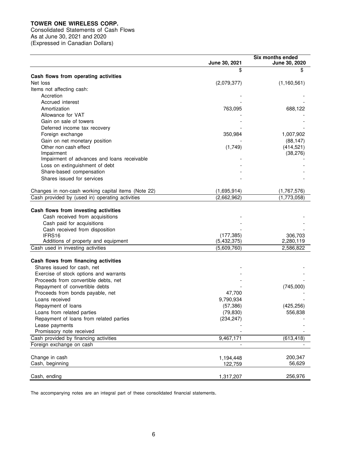Consolidated Statements of Cash Flows As at June 30, 2021 and 2020 (Expressed in Canadian Dollars)

|                                                     |               | <b>Six months ended</b> |
|-----------------------------------------------------|---------------|-------------------------|
|                                                     | June 30, 2021 | <b>June 30, 2020</b>    |
|                                                     | \$            | \$                      |
| Cash flows from operating activities                |               |                         |
| Net loss                                            | (2,079,377)   | (1, 160, 561)           |
| Items not affecting cash:                           |               |                         |
| Accretion                                           |               |                         |
| Accrued interest                                    |               |                         |
| Amortization                                        | 763,095       | 688,122                 |
| Allowance for VAT                                   |               |                         |
| Gain on sale of towers                              |               |                         |
| Deferred income tax recovery                        |               |                         |
| Foreign exchange                                    | 350,984       | 1,007,902               |
| Gain on net monetary position                       |               | (88, 147)               |
| Other non cash effect                               | (1,749)       | (414, 521)              |
| Impairment                                          |               | (38, 276)               |
| Impairment of advances and loans receivable         |               |                         |
| Loss on extinguishment of debt                      |               |                         |
| Share-based compensation                            |               |                         |
| Shares issued for services                          |               |                         |
|                                                     |               |                         |
| Changes in non-cash working capital items (Note 22) | (1,695,914)   | (1,767,576)             |
| Cash provided by (used in) operating activities     | (2,662,962)   | (1,773,058)             |
|                                                     |               |                         |
| Cash flows from investing activities                |               |                         |
| Cash received from acquisitions                     |               |                         |
| Cash paid for acquisitions                          |               |                         |
| Cash received from disposition                      |               |                         |
| IFRS16                                              | (177, 385)    | 306,703                 |
| Additions of property and equipment                 | (5,432,375)   | 2,280,119               |
| Cash used in investing activities                   | (5,609,760)   | 2,586,822               |
|                                                     |               |                         |
| Cash flows from financing activities                |               |                         |
| Shares issued for cash, net                         |               |                         |
| Exercise of stock options and warrants              |               |                         |
| Proceeds from convertible debts, net                |               |                         |
| Repayment of convertible debts                      |               | (745,000)               |
| Proceeds from bonds payable, net                    | 47,700        |                         |
| Loans received                                      | 9,790,934     |                         |
| Repayment of loans                                  | (57, 386)     | (425, 256)              |
| Loans from related parties                          | (79, 830)     | 556,838                 |
| Repayment of loans from related parties             | (234, 247)    |                         |
| Lease payments                                      |               |                         |
| Promissory note received                            |               |                         |
| Cash provided by financing activities               | 9,467,171     | (613, 418)              |
| Foreign exchange on cash                            |               |                         |
|                                                     |               |                         |
| Change in cash                                      | 1,194,448     | 200,347                 |
| Cash, beginning                                     | 122,759       | 56,629                  |
|                                                     |               |                         |
| Cash, ending                                        | 1,317,207     | 256,976                 |

The accompanying notes are an integral part of these consolidated financial statements.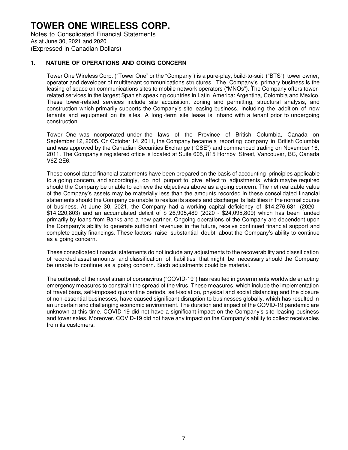### **TOWER ONE WIRELESS CORP.** Notes to Consolidated Financial Statements As at June 30, 2021 and 2020 (Expressed in Canadian Dollars)

### **1. NATURE OF OPERATIONS AND GOING CONCERN**

Tower One Wireless Corp. ("Tower One" or the "Company") is a pure-play, build-to-suit ("BTS") tower owner, operator and developer of multitenant communications structures. The Company's primary business is the leasing of space on communications sites to mobile network operators ("MNOs"). The Company offers towerrelated services in the largest Spanish speaking countries in Latin America: Argentina, Colombia and Mexico. These tower-related services include site acquisition, zoning and permitting, structural analysis, and construction which primarily supports the Company's site leasing business, including the addition of new tenants and equipment on its sites. A long -term site lease is in hand with a tenant prior to undergoing construction.

Tower One was incorporated under the laws of the Province of British Columbia, Canada on September 12, 2005. On October 14, 2011, the Company became a reporting company in British Columbia and was approved by the Canadian Securities Exchange ("CSE") and commenced trading on November 16, 2011. The Company's registered office is located at Suite 605, 815 Hornby Street, Vancouver, BC, Canada V6Z 2E6.

These consolidated financial statements have been prepared on the basis of accounting principles applicable to a going concern, and accordingly, do not purport to give effect to adjustments which maybe required should the Company be unable to achieve the objectives above as a going concern. The net realizable value of the Company's assets may be materially less than the amounts recorded in these consolidated financial statements should the Company be unable to realize its assets and discharge its liabilities in the normal course of business. At June 30, 2021, the Company had a working capital deficiency of \$14,276,631 (2020 - \$14,220,803) and an accumulated deficit of \$ 26,905,489 (2020 - \$24,095,809) which has been funded primarily by loans from Banks and a new partner. Ongoing operations of the Company are dependent upon the Company's ability to generate sufficient revenues in the future, receive continued financial support and complete equity financings. These factors raise substantial doubt about the Company's ability to continue as a going concern.

These consolidated financial statements do not include any adjustments to the recoverability and classification of recorded asset amounts and classification of liabilities that might be necessary should the Company be unable to continue as a going concern. Such adjustments could be material.

The outbreak of the novel strain of coronavirus ("COVID-19") has resulted in governments worldwide enacting emergency measures to constrain the spread of the virus. These measures, which include the implementation of travel bans, self-imposed quarantine periods, self-isolation, physical and social distancing and the closure of non-essential businesses, have caused significant disruption to businesses globally, which has resulted in an uncertain and challenging economic environment. The duration and impact of the COVID-19 pandemic are unknown at this time. COVID-19 did not have a significant impact on the Company's site leasing business and tower sales. Moreover, COVID-19 did not have any impact on the Company's ability to collect receivables from its customers.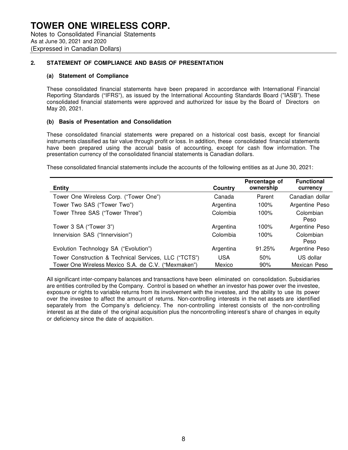### **2. STATEMENT OF COMPLIANCE AND BASIS OF PRESENTATION**

### **(a) Statement of Compliance**

These consolidated financial statements have been prepared in accordance with International Financial Reporting Standards ("IFRS"), as issued by the International Accounting Standards Board ("IASB"). These consolidated financial statements were approved and authorized for issue by the Board of Directors on May 20, 2021.

### **(b) Basis of Presentation and Consolidation**

These consolidated financial statements were prepared on a historical cost basis, except for financial instruments classified as fair value through profit or loss. In addition, these consolidated financial statements have been prepared using the accrual basis of accounting, except for cash flow information. The presentation currency of the consolidated financial statements is Canadian dollars.

These consolidated financial statements include the accounts of the following entities as at June 30, 2021:

| <b>Entity</b>                                                                                                | Country              | Percentage of<br>ownership | <b>Functional</b><br>currency |
|--------------------------------------------------------------------------------------------------------------|----------------------|----------------------------|-------------------------------|
| Tower One Wireless Corp. ("Tower One")                                                                       | Canada               | Parent                     | Canadian dollar               |
| Tower Two SAS ("Tower Two")                                                                                  | Argentina            | 100%                       | Argentine Peso                |
| Tower Three SAS ("Tower Three")                                                                              | Colombia             | 100%                       | Colombian<br>Peso             |
| Tower 3 SA ("Tower 3")                                                                                       | Argentina            | 100%                       | Argentine Peso                |
| Innervision SAS ("Innervision")                                                                              | Colombia             | 100%                       | Colombian<br>Peso             |
| Evolution Technology SA ("Evolution")                                                                        | Argentina            | 91.25%                     | Argentine Peso                |
| Tower Construction & Technical Services, LLC ("TCTS")<br>Tower One Wireless Mexico S.A. de C.V. ("Mexmaken") | <b>USA</b><br>Mexico | 50%<br>90%                 | US dollar<br>Mexican Peso     |

All significant inter-company balances and transactions have been eliminated on consolidation. Subsidiaries are entities controlled by the Company. Control is based on whether an investor has power over the investee, exposure or rights to variable returns from its involvement with the investee, and the ability to use its power over the investee to affect the amount of returns. Non-controlling interests in the net assets are identified separately from the Company's deficiency. The non-controlling interest consists of the non-controlling interest as at the date of the original acquisition plus the noncontrolling interest's share of changes in equity or deficiency since the date of acquisition.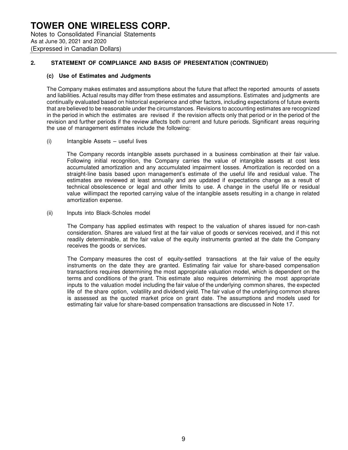### **TOWER ONE WIRELESS CORP.** Notes to Consolidated Financial Statements As at June 30, 2021 and 2020 (Expressed in Canadian Dollars)

### **2. STATEMENT OF COMPLIANCE AND BASIS OF PRESENTATION (CONTINUED)**

### **(c) Use of Estimates and Judgments**

The Company makes estimates and assumptions about the future that affect the reported amounts of assets and liabilities. Actual results may differ from these estimates and assumptions. Estimates and judgments are continually evaluated based on historical experience and other factors, including expectations of future events that are believed to be reasonable under the circumstances. Revisions to accounting estimates are recognized in the period in which the estimates are revised if the revision affects only that period or in the period of the revision and further periods if the review affects both current and future periods. Significant areas requiring the use of management estimates include the following:

(i) Intangible Assets – useful lives

The Company records intangible assets purchased in a business combination at their fair value. Following initial recognition, the Company carries the value of intangible assets at cost less accumulated amortization and any accumulated impairment losses. Amortization is recorded on a straight-line basis based upon management's estimate of the useful life and residual value. The estimates are reviewed at least annually and are updated if expectations change as a result of technical obsolescence or legal and other limits to use. A change in the useful life or residual value willimpact the reported carrying value of the intangible assets resulting in a change in related amortization expense.

(ii) Inputs into Black-Scholes model

The Company has applied estimates with respect to the valuation of shares issued for non-cash consideration. Shares are valued first at the fair value of goods or services received, and if this not readily determinable, at the fair value of the equity instruments granted at the date the Company receives the goods or services.

The Company measures the cost of equity-settled transactions at the fair value of the equity instruments on the date they are granted. Estimating fair value for share-based compensation transactions requires determining the most appropriate valuation model, which is dependent on the terms and conditions of the grant. This estimate also requires determining the most appropriate inputs to the valuation model including the fair value of the underlying common shares, the expected life of the share option, volatility and dividend yield. The fair value of the underlying common shares is assessed as the quoted market price on grant date. The assumptions and models used for estimating fair value for share-based compensation transactions are discussed in Note 17.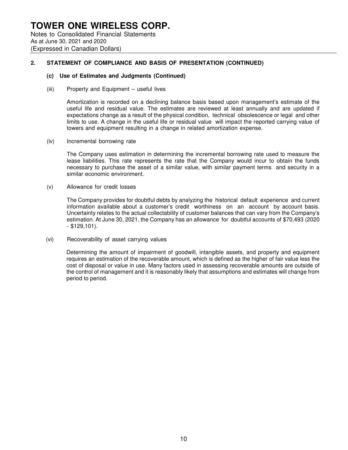#### **(c) Use of Estimates and Judgments (Continued)**

(iii) Property and Equipment – useful lives

Amortization is recorded on a declining balance basis based upon management's estimate of the useful life and residual value. The estimates are reviewed at least annually and are updated if expectations change as a result of the physical condition, technical obsolescence or legal and other limits to use. A change in the useful life or residual value will impact the reported carrying value of towers and equipment resulting in a change in related amortization expense.

(iv) Incremental borrowing rate

The Company uses estimation in determining the incremental borrowing rate used to measure the lease liabilities. This rate represents the rate that the Company would incur to obtain the funds necessary to purchase the asset of a similar value, with similar payment terms and security in a similar economic environment.

(v) Allowance for credit losses

The Company provides for doubtful debts by analyzing the historical default experience and current information available about a customer's credit worthiness on an account by account basis. Uncertainty relates to the actual collectability of customer balances that can vary from the Company's estimation. At June 30, 2021, the Company has an allowance for doubtful accounts of \$70,493 (2020 - \$129,101).

(vi) Recoverability of asset carrying values

Determining the amount of impairment of goodwill, intangible assets, and property and equipment requires an estimation of the recoverable amount, which is defined as the higher of fair value less the cost of disposal or value in use. Many factors used in assessing recoverable amounts are outside of the control of management and it is reasonably likely that assumptions and estimates will change from period to period.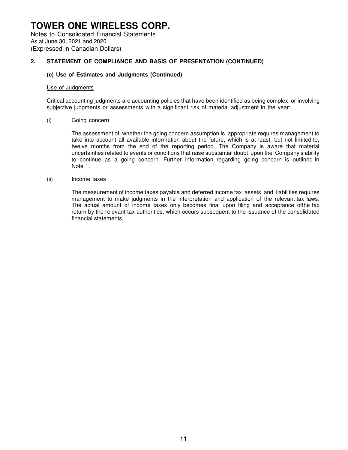### **(c) Use of Estimates and Judgments (Continued)**

#### Use of Judgments

Critical accounting judgments are accounting policies that have been identified as being complex or involving subjective judgments or assessments with a significant risk of material adjustment in the year:

#### (i) Going concern

The assessment of whether the going concern assumption is appropriate requires management to take into account all available information about the future, which is at least, but not limited to, twelve months from the end of the reporting period. The Company is aware that material uncertainties related to events or conditions that raise substantial doubt upon the Company's ability to continue as a going concern. Further information regarding going concern is outlined in Note 1.

#### (ii) Income taxes

The measurement of income taxes payable and deferred income tax assets and liabilities requires management to make judgments in the interpretation and application of the relevant tax laws. The actual amount of income taxes only becomes final upon filing and acceptance of the tax return by the relevant tax authorities, which occurs subsequent to the issuance of the consolidated financial statements.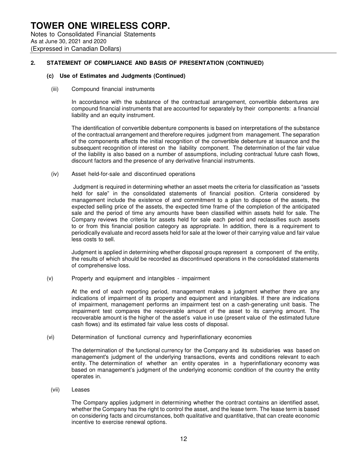#### **(c) Use of Estimates and Judgments (Continued)**

(iii) Compound financial instruments

In accordance with the substance of the contractual arrangement, convertible debentures are compound financial instruments that are accounted for separately by their components: a financial liability and an equity instrument.

The identification of convertible debenture components is based on interpretations of the substance of the contractual arrangement and therefore requires judgment from management. The separation of the components affects the initial recognition of the convertible debenture at issuance and the subsequent recognition of interest on the liability component. The determination of the fair value of the liability is also based on a number of assumptions, including contractual future cash flows, discount factors and the presence of any derivative financial instruments.

(iv) Asset held-for-sale and discontinued operations

Judgment is required in determining whether an asset meets the criteria for classification as "assets held for sale" in the consolidated statements of financial position. Criteria considered by management include the existence of and commitment to a plan to dispose of the assets, the expected selling price of the assets, the expected time frame of the completion of the anticipated sale and the period of time any amounts have been classified within assets held for sale. The Company reviews the criteria for assets held for sale each period and reclassifies such assets to or from this financial position category as appropriate. In addition, there is a requirement to periodically evaluate and record assets held for sale at the lower of their carrying value and fair value less costs to sell.

Judgment is applied in determining whether disposal groups represent a component of the entity, the results of which should be recorded as discontinued operations in the consolidated statements of comprehensive loss.

(v) Property and equipment and intangibles - impairment

At the end of each reporting period, management makes a judgment whether there are any indications of impairment of its property and equipment and intangibles. If there are indications of impairment, management performs an impairment test on a cash-generating unit basis. The impairment test compares the recoverable amount of the asset to its carrying amount. The recoverable amount is the higher of the asset's value in use (present value of the estimated future cash flows) and its estimated fair value less costs of disposal.

(vi) Determination of functional currency and hyperinflationary economies

The determination of the functional currency for the Company and its subsidiaries was based on management's judgment of the underlying transactions, events and conditions relevant to each entity. The determination of whether an entity operates in a hyperinflationary economy was based on management's judgment of the underlying economic condition of the country the entity operates in.

(vii) Leases

The Company applies judgment in determining whether the contract contains an identified asset, whether the Company has the right to control the asset, and the lease term. The lease term is based on considering facts and circumstances, both qualitative and quantitative, that can create economic incentive to exercise renewal options.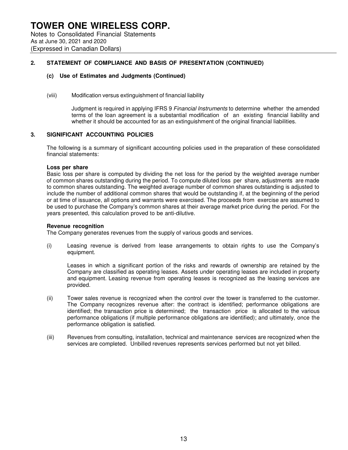### **(c) Use of Estimates and Judgments (Continued)**

### (viii) Modification versus extinguishment of financial liability

Judgment is required in applying IFRS 9 Financial Instruments to determine whether the amended terms of the loan agreement is a substantial modification of an existing financial liability and whether it should be accounted for as an extinguishment of the original financial liabilities.

### **3. SIGNIFICANT ACCOUNTING POLICIES**

The following is a summary of significant accounting policies used in the preparation of these consolidated financial statements:

### **Loss per share**

Basic loss per share is computed by dividing the net loss for the period by the weighted average number of common shares outstanding during the period. To compute diluted loss per share, adjustments are made to common shares outstanding. The weighted average number of common shares outstanding is adjusted to include the number of additional common shares that would be outstanding if, at the beginning of the period or at time of issuance, all options and warrants were exercised. The proceeds from exercise are assumed to be used to purchase the Company's common shares at their average market price during the period. For the years presented, this calculation proved to be anti-dilutive.

### **Revenue recognition**

The Company generates revenues from the supply of various goods and services.

(i) Leasing revenue is derived from lease arrangements to obtain rights to use the Company's equipment.

Leases in which a significant portion of the risks and rewards of ownership are retained by the Company are classified as operating leases. Assets under operating leases are included in property and equipment. Leasing revenue from operating leases is recognized as the leasing services are provided.

- (ii) Tower sales revenue is recognized when the control over the tower is transferred to the customer. The Company recognizes revenue after: the contract is identified; performance obligations are identified; the transaction price is determined; the transaction price is allocated to the various performance obligations (if multiple performance obligations are identified); and ultimately, once the performance obligation is satisfied.
- (iii) Revenues from consulting, installation, technical and maintenance services are recognized when the services are completed. Unbilled revenues represents services performed but not yet billed.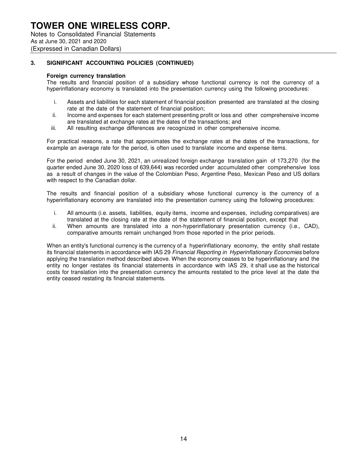Notes to Consolidated Financial Statements As at June 30, 2021 and 2020 (Expressed in Canadian Dollars)

### **3. SIGNIFICANT ACCOUNTING POLICIES (CONTINUED)**

### **Foreign currency translation**

The results and financial position of a subsidiary whose functional currency is not the currency of a hyperinflationary economy is translated into the presentation currency using the following procedures:

- i. Assets and liabilities for each statement of financial position presented are translated at the closing rate at the date of the statement of financial position;
- ii. Income and expenses for each statement presenting profit or loss and other comprehensive income are translated at exchange rates at the dates of the transactions; and
- iii. All resulting exchange differences are recognized in other comprehensive income.

For practical reasons, a rate that approximates the exchange rates at the dates of the transactions, for example an average rate for the period, is often used to translate income and expense items.

For the period ended June 30, 2021, an unrealized foreign exchange translation gain of 173,270 (for the quarter ended June 30, 2020 loss of 639,644) was recorded under accumulated other comprehensive loss as a result of changes in the value of the Colombian Peso, Argentine Peso, Mexican Peso and US dollars with respect to the Canadian dollar.

The results and financial position of a subsidiary whose functional currency is the currency of a hyperinflationary economy are translated into the presentation currency using the following procedures:

- i. All amounts (i.e. assets, liabilities, equity items, income and expenses, including comparatives) are translated at the closing rate at the date of the statement of financial position, except that
- ii. When amounts are translated into a non-hyperinflationary presentation currency (i.e., CAD), comparative amounts remain unchanged from those reported in the prior periods.

When an entity's functional currency is the currency of a hyperinflationary economy, the entity shall restate its financial statements in accordance with IAS 29 Financial Reporting in Hyperinflationary Economies before applying the translation method described above. When the economy ceases to be hyperinflationary and the entity no longer restates its financial statements in accordance with IAS 29, it shall use as the historical costs for translation into the presentation currency the amounts restated to the price level at the date the entity ceased restating its financial statements.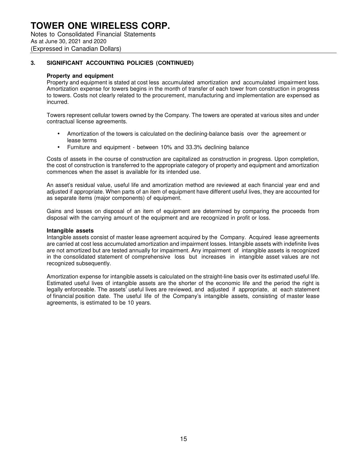Notes to Consolidated Financial Statements As at June 30, 2021 and 2020 (Expressed in Canadian Dollars)

### **3. SIGNIFICANT ACCOUNTING POLICIES (CONTINUED)**

### **Property and equipment**

Property and equipment is stated at cost less accumulated amortization and accumulated impairment loss. Amortization expense for towers begins in the month of transfer of each tower from construction in progress to towers. Costs not clearly related to the procurement, manufacturing and implementation are expensed as incurred.

Towers represent cellular towers owned by the Company. The towers are operated at various sites and under contractual license agreements.

- Amortization of the towers is calculated on the declining-balance basis over the agreement or lease terms
- Furniture and equipment between 10% and 33.3% declining balance

Costs of assets in the course of construction are capitalized as construction in progress. Upon completion, the cost of construction is transferred to the appropriate category of property and equipment and amortization commences when the asset is available for its intended use.

An asset's residual value, useful life and amortization method are reviewed at each financial year end and adjusted if appropriate. When parts of an item of equipment have different useful lives, they are accounted for as separate items (major components) of equipment.

Gains and losses on disposal of an item of equipment are determined by comparing the proceeds from disposal with the carrying amount of the equipment and are recognized in profit or loss.

### **Intangible assets**

Intangible assets consist of master lease agreement acquired by the Company. Acquired lease agreements are carried at cost less accumulated amortization and impairment losses. Intangible assets with indefinite lives are not amortized but are tested annually for impairment. Any impairment of intangible assets is recognized in the consolidated statement of comprehensive loss but increases in intangible asset values are not recognized subsequently.

Amortization expense for intangible assets is calculated on the straight-line basis over its estimated useful life. Estimated useful lives of intangible assets are the shorter of the economic life and the period the right is legally enforceable. The assets' useful lives are reviewed, and adjusted if appropriate, at each statement of financial position date. The useful life of the Company's intangible assets, consisting of master lease agreements, is estimated to be 10 years.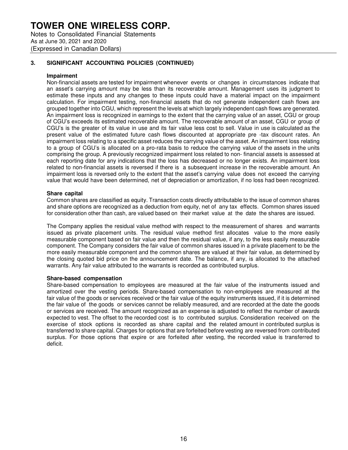Notes to Consolidated Financial Statements As at June 30, 2021 and 2020 (Expressed in Canadian Dollars)

### **3. SIGNIFICANT ACCOUNTING POLICIES (CONTINUED)**

### **Impairment**

Non-financial assets are tested for impairment whenever events or changes in circumstances indicate that an asset's carrying amount may be less than its recoverable amount. Management uses its judgment to estimate these inputs and any changes to these inputs could have a material impact on the impairment calculation. For impairment testing, non-financial assets that do not generate independent cash flows are grouped together into CGU, which represent the levels at which largely independent cash flows are generated. An impairment loss is recognized in earnings to the extent that the carrying value of an asset, CGU or group of CGU's exceeds its estimated recoverable amount. The recoverable amount of an asset, CGU or group of CGU's is the greater of its value in use and its fair value less cost to sell. Value in use is calculated as the present value of the estimated future cash flows discounted at appropriate pre -tax discount rates. An impairment loss relating to a specific asset reduces the carrying value of the asset. An impairment loss relating to a group of CGU's is allocated on a pro-rata basis to reduce the carrying value of the assets in the units comprising the group. A previously recognized impairment loss related to non- financial assets is assessed at each reporting date for any indications that the loss has decreased or no longer exists. An impairment loss related to non-financial assets is reversed if there is a subsequent increase in the recoverable amount. An impairment loss is reversed only to the extent that the asset's carrying value does not exceed the carrying value that would have been determined, net of depreciation or amortization, if no loss had been recognized.

### **Share capital**

Common shares are classified as equity. Transaction costs directly attributable to the issue of common shares and share options are recognized as a deduction from equity, net of any tax effects. Common shares issued for consideration other than cash, are valued based on their market value at the date the shares are issued.

The Company applies the residual value method with respect to the measurement of shares and warrants issued as private placement units. The residual value method first allocates value to the more easily measurable component based on fair value and then the residual value, if any, to the less easily measurable component. The Company considers the fair value of common shares issued in a private placement to be the more easily measurable component and the common shares are valued at their fair value, as determined by the closing quoted bid price on the announcement date. The balance, if any, is allocated to the attached warrants. Any fair value attributed to the warrants is recorded as contributed surplus.

### **Share-based compensation**

Share-based compensation to employees are measured at the fair value of the instruments issued and amortized over the vesting periods. Share-based compensation to non-employees are measured at the fair value of the goods or services received or the fair value of the equity instruments issued, if it is determined the fair value of the goods or services cannot be reliably measured, and are recorded at the date the goods or services are received. The amount recognized as an expense is adjusted to reflect the number of awards expected to vest. The offset to the recorded cost is to contributed surplus. Consideration received on the exercise of stock options is recorded as share capital and the related amount in contributed surplus is transferred to share capital. Charges for options that are forfeited before vesting are reversed from contributed surplus. For those options that expire or are forfeited after vesting, the recorded value is transferred to deficit.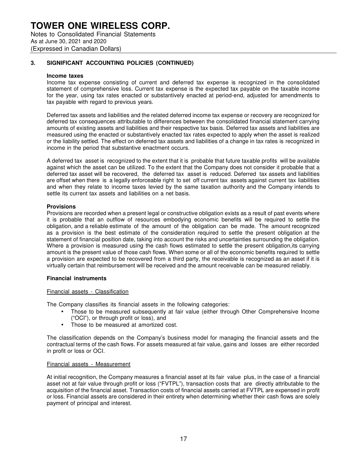Notes to Consolidated Financial Statements As at June 30, 2021 and 2020 (Expressed in Canadian Dollars)

### **3. SIGNIFICANT ACCOUNTING POLICIES (CONTINUED)**

#### **Income taxes**

Income tax expense consisting of current and deferred tax expense is recognized in the consolidated statement of comprehensive loss. Current tax expense is the expected tax payable on the taxable income for the year, using tax rates enacted or substantively enacted at period-end, adjusted for amendments to tax payable with regard to previous years.

Deferred tax assets and liabilities and the related deferred income tax expense or recovery are recognized for deferred tax consequences attributable to differences between the consolidated financial statement carrying amounts of existing assets and liabilities and their respective tax basis. Deferred tax assets and liabilities are measured using the enacted or substantively enacted tax rates expected to apply when the asset is realized or the liability settled. The effect on deferred tax assets and liabilities of a change in tax rates is recognized in income in the period that substantive enactment occurs.

A deferred tax asset is recognized to the extent that it is probable that future taxable profits will be available against which the asset can be utilized. To the extent that the Company does not consider it probable that a deferred tax asset will be recovered, the deferred tax asset is reduced. Deferred tax assets and liabilities are offset when there is a legally enforceable right to set off current tax assets against current tax liabilities and when they relate to income taxes levied by the same taxation authority and the Company intends to settle its current tax assets and liabilities on a net basis.

### **Provisions**

Provisions are recorded when a present legal or constructive obligation exists as a result of past events where it is probable that an outflow of resources embodying economic benefits will be required to settle the obligation, and a reliable estimate of the amount of the obligation can be made. The amount recognized as a provision is the best estimate of the consideration required to settle the present obligation at the statement of financial position date, taking into account the risks and uncertainties surrounding the obligation. Where a provision is measured using the cash flows estimated to settle the present obligation, its carrying amount is the present value of those cash flows. When some or all of the economic benefits required to settle a provision are expected to be recovered from a third party, the receivable is recognized as an asset if it is virtually certain that reimbursement will be received and the amount receivable can be measured reliably.

### **Financial instruments**

### Financial assets - Classification

The Company classifies its financial assets in the following categories:

- Those to be measured subsequently at fair value (either through Other Comprehensive Income ("OCI"), or through profit or loss), and
- Those to be measured at amortized cost.

The classification depends on the Company's business model for managing the financial assets and the contractual terms of the cash flows. For assets measured at fair value, gains and losses are either recorded in profit or loss or OCI.

#### Financial assets - Measurement

At initial recognition, the Company measures a financial asset at its fair value plus, in the case of a financial asset not at fair value through profit or loss ("FVTPL"), transaction costs that are directly attributable to the acquisition of the financial asset. Transaction costs of financial assets carried at FVTPL are expensed in profit or loss. Financial assets are considered in their entirety when determining whether their cash flows are solely payment of principal and interest.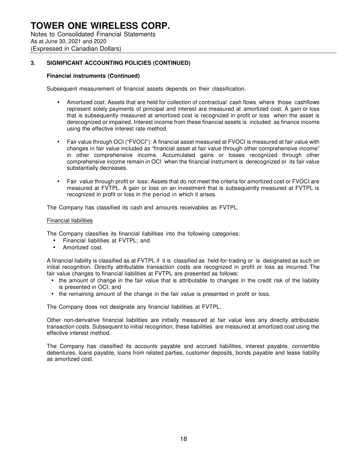### **3. SIGNIFICANT ACCOUNTING POLICIES (CONTINUED)**

### **Financial instruments (Continued)**

Subsequent measurement of financial assets depends on their classification.

- Amortized cost: Assets that are held for collection of contractual cash flows where those cashflows represent solely payments of principal and interest are measured at amortized cost. A gain or loss that is subsequently measured at amortized cost is recognized in profit or loss when the asset is derecognized or impaired. Interest income from these financial assets is included as finance income using the effective interest rate method.
- Fair value through OCI ("FVOCI"): A financial asset measured at FVOCI is measured at fair value with changes in fair value included as "financial asset at fair value through other comprehensive income" in other comprehensive income. Accumulated gains or losses recognized through other comprehensive income remain in OCI when the financial instrument is derecognized or its fair value substantially decreases.
- Fair value through profit or loss: Assets that do not meet the criteria for amortized cost or FVOCI are measured at FVTPL. A gain or loss on an investment that is subsequently measured at FVTPL is recognized in profit or loss in the period in which it arises.

The Company has classified its cash and amounts receivables as FVTPL.

### Financial liabilities

The Company classifies its financial liabilities into the following categories:

- Financial liabilities at FVTPL; and
- Amortized cost.

A financial liability is classified as at FVTPL if it is classified as held-for-trading or is designated as such on initial recognition. Directly attributable transaction costs are recognized in profit or loss as incurred. The fair value changes to financial liabilities at FVTPL are presented as follows:

- the amount of change in the fair value that is attributable to changes in the credit risk of the liability is presented in OCI; and
- the remaining amount of the change in the fair value is presented in profit or loss.

The Company does not designate any financial liabilities at FVTPL.

Other non-derivative financial liabilities are initially measured at fair value less any directly attributable transaction costs. Subsequent to initial recognition, these liabilities are measured at amortized cost using the effective interest method.

The Company has classified its accounts payable and accrued liabilities, interest payable, convertible debentures, loans payable, loans from related parties, customer deposits, bonds payable and lease liability as amortized cost.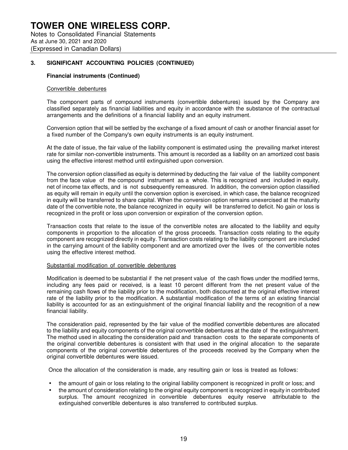### **3. SIGNIFICANT ACCOUNTING POLICIES (CONTINUED)**

### **Financial instruments (Continued)**

#### Convertible debentures

The component parts of compound instruments (convertible debentures) issued by the Company are classified separately as financial liabilities and equity in accordance with the substance of the contractual arrangements and the definitions of a financial liability and an equity instrument.

Conversion option that will be settled by the exchange of a fixed amount of cash or another financial asset for a fixed number of the Company's own equity instruments is an equity instrument.

At the date of issue, the fair value of the liability component is estimated using the prevailing market interest rate for similar non-convertible instruments. This amount is recorded as a liability on an amortized cost basis using the effective interest method until extinguished upon conversion.

The conversion option classified as equity is determined by deducting the fair value of the liability component from the face value of the compound instrument as a whole. This is recognized and included in equity, net of income tax effects, and is not subsequently remeasured. In addition, the conversion option classified as equity will remain in equity until the conversion option is exercised, in which case, the balance recognized in equity will be transferred to share capital. When the conversion option remains unexercised at the maturity date of the convertible note, the balance recognized in equity will be transferred to deficit. No gain or loss is recognized in the profit or loss upon conversion or expiration of the conversion option.

Transaction costs that relate to the issue of the convertible notes are allocated to the liability and equity components in proportion to the allocation of the gross proceeds. Transaction costs relating to the equity component are recognized directly in equity. Transaction costs relating to the liability component are included in the carrying amount of the liability component and are amortized over the lives of the convertible notes using the effective interest method.

### Substantial modification of convertible debentures

Modification is deemed to be substantial if the net present value of the cash flows under the modified terms, including any fees paid or received, is a least 10 percent different from the net present value of the remaining cash flows of the liability prior to the modification, both discounted at the original effective interest rate of the liability prior to the modification. A substantial modification of the terms of an existing financial liability is accounted for as an extinguishment of the original financial liability and the recognition of a new financial liability.

The consideration paid, represented by the fair value of the modified convertible debentures are allocated to the liability and equity components of the original convertible debentures at the date of the extinguishment. The method used in allocating the consideration paid and transaction costs to the separate components of the original convertible debentures is consistent with that used in the original allocation to the separate components of the original convertible debentures of the proceeds received by the Company when the original convertible debentures were issued.

Once the allocation of the consideration is made, any resulting gain or loss is treated as follows:

- the amount of gain or loss relating to the original liability component is recognized in profit or loss; and
- the amount of consideration relating to the original equity component is recognized in equity in contributed surplus. The amount recognized in convertible debentures equity reserve attributable to the extinguished convertible debentures is also transferred to contributed surplus.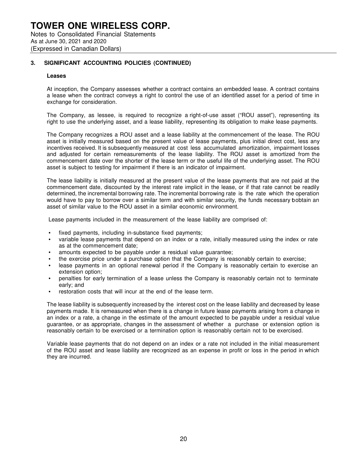### **3. SIGNIFICANT ACCOUNTING POLICIES (CONTINUED)**

#### **Leases**

At inception, the Company assesses whether a contract contains an embedded lease. A contract contains a lease when the contract conveys a right to control the use of an identified asset for a period of time in exchange for consideration.

The Company, as lessee, is required to recognize a right-of-use asset ("ROU asset"), representing its right to use the underlying asset, and a lease liability, representing its obligation to make lease payments.

The Company recognizes a ROU asset and a lease liability at the commencement of the lease. The ROU asset is initially measured based on the present value of lease payments, plus initial direct cost, less any incentives received. It is subsequently measured at cost less accumulated amortization, impairment losses and adjusted for certain remeasurements of the lease liability. The ROU asset is amortized from the commencement date over the shorter of the lease term or the useful life of the underlying asset. The ROU asset is subject to testing for impairment if there is an indicator of impairment.

The lease liability is initially measured at the present value of the lease payments that are not paid at the commencement date, discounted by the interest rate implicit in the lease, or if that rate cannot be readily determined, the incremental borrowing rate. The incremental borrowing rate is the rate which the operation would have to pay to borrow over a similar term and with similar security, the funds necessary bobtain an asset of similar value to the ROU asset in a similar economic environment.

Lease payments included in the measurement of the lease liability are comprised of:

- fixed payments, including in-substance fixed payments;
- variable lease payments that depend on an index or a rate, initially measured using the index or rate as at the commencement date;
- amounts expected to be payable under a residual value guarantee;
- the exercise price under a purchase option that the Company is reasonably certain to exercise;
- lease payments in an optional renewal period if the Company is reasonably certain to exercise an extension option;
- penalties for early termination of a lease unless the Company is reasonably certain not to terminate early; and
- restoration costs that will incur at the end of the lease term.

The lease liability is subsequently increased by the interest cost on the lease liability and decreased by lease payments made. It is remeasured when there is a change in future lease payments arising from a change in an index or a rate, a change in the estimate of the amount expected to be payable under a residual value guarantee, or as appropriate, changes in the assessment of whether a purchase or extension option is reasonably certain to be exercised or a termination option is reasonably certain not to be exercised.

Variable lease payments that do not depend on an index or a rate not included in the initial measurement of the ROU asset and lease liability are recognized as an expense in profit or loss in the period in which they are incurred.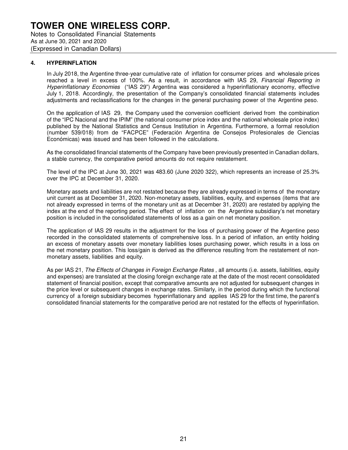### **4. HYPERINFLATION**

In July 2018, the Argentine three-year cumulative rate of inflation for consumer prices and wholesale prices reached a level in excess of 100%. As a result, in accordance with IAS 29, Financial Reporting in Hyperinflationary Economies ("IAS 29") Argentina was considered a hyperinflationary economy, effective July 1, 2018. Accordingly, the presentation of the Company's consolidated financial statements includes adjustments and reclassifications for the changes in the general purchasing power of the Argentine peso.

On the application of IAS 29, the Company used the conversion coefficient derived from the combination of the "IPC Nacional and the IPIM" (the national consumer price index and the national wholesale price index) published by the National Statistics and Census Institution in Argentina. Furthermore, a formal resolution (number 539/018) from de "FACPCE" (Federación Argentina de Consejos Profesionales de Ciencias Económicas) was issued and has been followed in the calculations.

As the consolidated financial statements of the Company have been previously presented in Canadian dollars, a stable currency, the comparative period amounts do not require restatement.

The level of the IPC at June 30, 2021 was 483.60 (June 2020 322), which represents an increase of 25.3% over the IPC at December 31, 2020.

Monetary assets and liabilities are not restated because they are already expressed in terms of the monetary unit current as at December 31, 2020. Non-monetary assets, liabilities, equity, and expenses (items that are not already expressed in terms of the monetary unit as at December 31, 2020) are restated by applying the index at the end of the reporting period. The effect of inflation on the Argentine subsidiary's net monetary position is included in the consolidated statements of loss as a gain on net monetary position.

The application of IAS 29 results in the adjustment for the loss of purchasing power of the Argentine peso recorded in the consolidated statements of comprehensive loss. In a period of inflation, an entity holding an excess of monetary assets over monetary liabilities loses purchasing power, which results in a loss on the net monetary position. This loss/gain is derived as the difference resulting from the restatement of nonmonetary assets, liabilities and equity.

As per IAS 21, The Effects of Changes in Foreign Exchange Rates, all amounts (i.e. assets, liabilities, equity and expenses) are translated at the closing foreign exchange rate at the date of the most recent consolidated statement of financial position, except that comparative amounts are not adjusted for subsequent changes in the price level or subsequent changes in exchange rates. Similarly, in the period during which the functional currency of a foreign subsidiary becomes hyperinflationary and applies IAS 29 for the first time, the parent's consolidated financial statements for the comparative period are not restated for the effects of hyperinflation.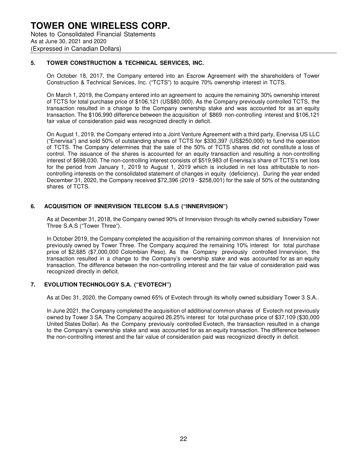### **5. TOWER CONSTRUCTION & TECHNICAL SERVICES, INC.**

On October 18, 2017, the Company entered into an Escrow Agreement with the shareholders of Tower Construction & Technical Services, Inc. ("TCTS") to acquire 70% ownership interest in TCTS.

On March 1, 2019, the Company entered into an agreement to acquire the remaining 30% ownership interest of TCTS for total purchase price of \$106,121 (US\$80,000). As the Company previously controlled TCTS, the transaction resulted in a change to the Company ownership stake and was accounted for as an equity transaction. The \$106,990 difference between the acquisition of \$869 non-controlling interest and \$106,121 fair value of consideration paid was recognized directly in deficit.

On August 1, 2019, the Company entered into a Joint Venture Agreement with a third party, Enervisa US LLC ("Enervisa") and sold 50% of outstanding shares of TCTS for \$330,397 (US\$250,000) to fund the operation of TCTS. The Company determines that the sale of the 50% of TCTS shares did not constitute a loss of control. The issuance of the shares is accounted for an equity transaction and resulting a non-controlling interest of \$698,030. The non-controlling interest consists of \$519,983 of Enervisa's share of TCTS's net loss for the period from January 1, 2019 to August 1, 2019 which is included in net loss attributable to noncontrolling interests on the consolidated statement of changes in equity (deficiency). During the year ended December 31, 2020, the Company received \$72,396 (2019 - \$258,001) for the sale of 50% of the outstanding shares of TCTS.

### **6. ACQUISITION OF INNERVISION TELECOM S.A.S ("INNERVISION")**

As at December 31, 2018, the Company owned 90% of Innervision through its wholly owned subsidiary Tower Three S.A.S ("Tower Three").

In October 2019, the Company completed the acquisition of the remaining common shares of Innervision not previously owned by Tower Three. The Company acquired the remaining 10% interest for total purchase price of \$2,685 (\$7,000,000 Colombian Peso). As the Company previously controlled Innervision, the transaction resulted in a change to the Company's ownership stake and was accounted for as an equity transaction. The difference between the non-controlling interest and the fair value of consideration paid was recognized directly in deficit.

### **7. EVOLUTION TECHNOLOGY S.A. ("EVOTECH")**

As at Dec 31, 2020, the Company owned 65% of Evotech through its wholly owned subsidiary Tower 3 S.A..

In June 2021, the Company completed the acquisition of additional common shares of Evotech not previously owned by Tower 3 SA. The Company acquired 26.25% interest for total purchase price of \$37,109 (\$30,000 United States Dollar). As the Company previously controlled Evotech, the transaction resulted in a change to the Company's ownership stake and was accounted for as an equity transaction. The difference between the non-controlling interest and the fair value of consideration paid was recognized directly in deficit.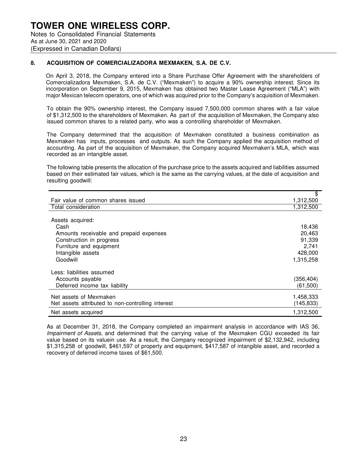### **8. ACQUISITION OF COMERCIALIZADORA MEXMAKEN, S.A. DE C.V.**

On April 3, 2018, the Company entered into a Share Purchase Offer Agreement with the shareholders of Comercializadora Mexmaken, S.A. de C.V. ("Mexmaken") to acquire a 90% ownership interest. Since its incorporation on September 9, 2015, Mexmaken has obtained two Master Lease Agreement ("MLA") with major Mexican telecom operators, one of which was acquired prior to the Company's acquisition of Mexmaken.

To obtain the 90% ownership interest, the Company issued 7,500,000 common shares with a fair value of \$1,312,500 to the shareholders of Mexmaken. As part of the acquisition of Mexmaken, the Company also issued common shares to a related party, who was a controlling shareholder of Mexmaken.

The Company determined that the acquisition of Mexmaken constituted a business combination as Mexmaken has inputs, processes and outputs. As such the Company applied the acquisition method of accounting. As part of the acquisition of Mexmaken, the Company acquired Mexmaken's MLA, which was recorded as an intangible asset.

The following table presents the allocation of the purchase price to the assets acquired and liabilities assumed based on their estimated fair values, which is the same as the carrying values, at the date of acquisition and resulting goodwill:

|                                                   | \$         |
|---------------------------------------------------|------------|
| Fair value of common shares issued                | 1,312,500  |
| Total consideration                               | 1,312,500  |
|                                                   |            |
| Assets acquired:                                  |            |
| Cash                                              | 18,436     |
| Amounts receivable and prepaid expenses           | 20,463     |
| Construction in progress                          | 91,339     |
| Furniture and equipment                           | 2,741      |
| Intangible assets                                 | 428,000    |
| Goodwill                                          | 1,315,258  |
| Less: liabilities assumed                         |            |
| Accounts payable                                  | (356, 404) |
| Deferred income tax liability                     | (61, 500)  |
| Net assets of Mexmaken                            | 1,458,333  |
| Net assets attributed to non-controlling interest | (145, 833) |
| Net assets acquired                               | 1,312,500  |

As at December 31, 2018, the Company completed an impairment analysis in accordance with IAS 36, Impairment of Assets, and determined that the carrying value of the Mexmaken CGU exceeded its fair value based on its valuein use. As a result, the Company recognized impairment of \$2,132,942, including \$1,315,258 of goodwill, \$461,597 of property and equipment, \$417,587 of intangible asset, and recorded a recovery of deferred income taxes of \$61,500.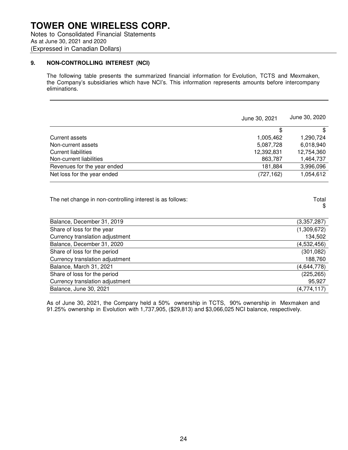### **9. NON-CONTROLLING INTEREST (NCI)**

The following table presents the summarized financial information for Evolution, TCTS and Mexmaken, the Company's subsidiaries which have NCI's. This information represents amounts before intercompany eliminations.

|                             | June 30, 2021 | June 30, 2020 |
|-----------------------------|---------------|---------------|
|                             | S             | \$            |
| Current assets              | 1,005,462     | 1,290,724     |
| Non-current assets          | 5,087,728     | 6,018,940     |
| Current liabilities         | 12,392,831    | 12,754,360    |
| Non-current liabilities     | 863,787       | 1,464,737     |
| Revenues for the year ended | 181,884       | 3,996,096     |
| Net loss for the year ended | (727, 162)    | 1,054,612     |
|                             |               |               |

| The net change in non-controlling interest is as follows: | Total |
|-----------------------------------------------------------|-------|
|-----------------------------------------------------------|-------|

| طا<br>п<br>-1 |
|---------------|
|               |

| Balance, December 31, 2019      | (3,357,287) |
|---------------------------------|-------------|
| Share of loss for the year      | (1,309,672) |
| Currency translation adjustment | 134,502     |
| Balance, December 31, 2020      | (4,532,456) |
| Share of loss for the period    | (301, 082)  |
| Currency translation adjustment | 188,760     |
| Balance, March 31, 2021         | (4,644,778) |
| Share of loss for the period    | (225, 265)  |
| Currency translation adjustment | 95,927      |
| Balance, June 30, 2021          | (4,774,117) |
|                                 |             |

As of June 30, 2021, the Company held a 50% ownership in TCTS, 90% ownership in Mexmaken and 91.25% ownership in Evolution with 1,737,905, (\$29,813) and \$3,066,025 NCI balance, respectively.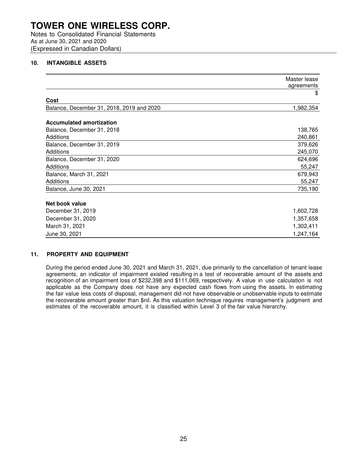Notes to Consolidated Financial Statements As at June 30, 2021 and 2020 (Expressed in Canadian Dollars)

### **10. INTANGIBLE ASSETS**

|                                           | Master lease<br>agreements |
|-------------------------------------------|----------------------------|
|                                           | \$                         |
| Cost                                      |                            |
| Balance, December 31, 2018, 2019 and 2020 | 1,982,354                  |
| <b>Accumulated amortization</b>           |                            |
| Balance, December 31, 2018                | 138,765                    |
| Additions                                 | 240,861                    |
| Balance, December 31, 2019                | 379,626                    |
| Additions                                 | 245,070                    |
| Balance, December 31, 2020                | 624,696                    |
| Additions                                 | 55,247                     |
| Balance, March 31, 2021                   | 679,943                    |
| Additions                                 | 55,247                     |
| Balance, June 30, 2021                    | 735,190                    |
| Net book value                            |                            |
| December 31, 2019                         | 1,602,728                  |
| December 31, 2020                         | 1,357,658                  |
| March 31, 2021                            | 1,302,411                  |
| June 30, 2021                             | 1,247,164                  |

### **11. PROPERTY AND EQUIPMENT**

During the period ended June 30, 2021 and March 31, 2021, due primarily to the cancellation of tenant lease agreements, an indicator of impairment existed resulting in a test of recoverable amount of the assets and recognition of an impairment loss of \$232,398 and \$111,069, respectively. A value in use calculation is not applicable as the Company does not have any expected cash flows from using the assets. In estimating the fair value less costs of disposal, management did not have observable or unobservable inputs to estimate the recoverable amount greater than \$nil. As this valuation technique requires management's judgment and estimates of the recoverable amount, it is classified within Level 3 of the fair value hierarchy.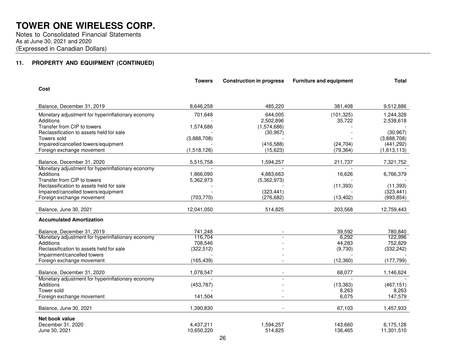Notes to Consolidated Financial Statements As at June 30, 2021 and 2020(Expressed in Canadian Dollars)

### **11. PROPERTY AND EQUIPMENT (CONTINUED)**

|                                                                         | <b>Towers</b> | <b>Construction in progress</b> | <b>Furniture and equipment</b> | <b>Total</b>             |
|-------------------------------------------------------------------------|---------------|---------------------------------|--------------------------------|--------------------------|
| Cost                                                                    |               |                                 |                                |                          |
| Balance, December 31, 2019                                              | 8,646,258     | 485,220                         | 381.408                        | 9,512,886                |
| Monetary adjustment for hyperinflationary economy                       | 701,648       | 644.005                         | (101, 325)                     | 1,244,328                |
| <b>Additions</b>                                                        |               | 2,502,896                       | 35,722                         | 2,538,618                |
| Transfer from CIP to towers                                             | 1,574,686     | (1,574,686)                     |                                |                          |
| Reclassification to assets held for sale<br>Towers sold                 | (3,888,708)   | (30, 967)                       |                                | (30, 967)<br>(3,888,708) |
| Impaired/cancelled towers/equipment                                     |               | (416,588)                       | (24, 704)                      | (441, 292)               |
| Foreign exchange movement                                               | (1,518,126)   | (15, 623)                       | (79, 364)                      | (1,613,113)              |
|                                                                         |               |                                 |                                |                          |
| Balance, December 31, 2020                                              | 5,515,758     | 1,594,257                       | 211,737                        | 7,321,752                |
| Monetary adjustment for hyperinflationary economy                       |               |                                 |                                |                          |
| Additions                                                               | 1,866,090     | 4,883,663                       | 16,626                         | 6,766,379                |
| Transfer from CIP to towers<br>Reclassification to assets held for sale | 5,362,973     | (5,362,973)                     |                                | (11, 393)                |
| Impaired/cancelled towers/equipment                                     |               | (323, 441)                      | (11, 393)                      | (323, 441)               |
| Foreign exchange movement                                               | (703, 770)    | (276, 682)                      | (13, 402)                      | (993, 854)               |
|                                                                         |               |                                 |                                |                          |
| Balance, June 30, 2021                                                  | 12,041,050    | 514,825                         | 203,568                        | 12,759,443               |
| <b>Accumulated Amortization</b>                                         |               |                                 |                                |                          |
| Balance, December 31, 2019                                              | 741,248       |                                 | 39,592                         | 780,840                  |
| Monetary adjustment for hyperinflationary economy                       | 116,704       |                                 | 6,292                          | 122,996                  |
| Additions                                                               | 708,546       |                                 | 44,283                         | 752,829                  |
| Reclassification to assets held for sale                                | (322, 512)    |                                 | (9,730)                        | (332, 242)               |
| Impairment/cancelled towers<br>Foreign exchange movement                | (165, 439)    |                                 | (12, 360)                      | (177, 799)               |
|                                                                         |               |                                 |                                |                          |
| Balance, December 31, 2020                                              | 1,078,547     |                                 | 68,077                         | 1,146,624                |
| Monetary adjustment for hyperinflationary economy                       |               |                                 |                                |                          |
| Additions                                                               | (453, 787)    |                                 | (13, 363)                      | (467, 151)               |
| Tower sold                                                              |               |                                 | 8,263                          | 8,263                    |
| Foreign exchange movement                                               | 141,504       |                                 | 6,075                          | 147,579                  |
| Balance, June 30, 2021                                                  | 1,390,830     |                                 | 67,103                         | 1,457,933                |
| Net book value                                                          |               |                                 |                                |                          |
| December 31, 2020                                                       | 4,437,211     | 1,594,257                       | 143,660                        | 6,175,128                |
| June 30, 2021                                                           | 10,650,220    | 514,825                         | 136,465                        | 11,301,510               |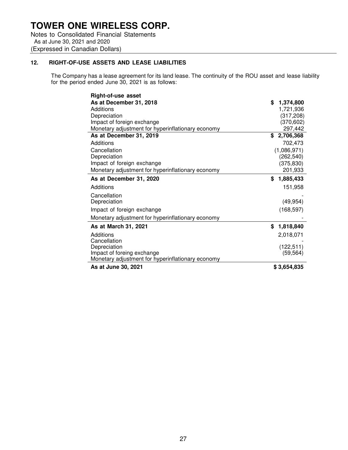Notes to Consolidated Financial Statements As at June 30, 2021 and 2020 (Expressed in Canadian Dollars)

### **12. RIGHT-OF-USE ASSETS AND LEASE LIABILITIES**

The Company has a lease agreement for its land lease. The continuity of the ROU asset and lease liability for the period ended June 30, 2021 is as follows:

| <b>Right-of-use asset</b>                         |                 |
|---------------------------------------------------|-----------------|
| As at December 31, 2018                           | \$<br>1,374,800 |
| Additions                                         | 1,721,936       |
| Depreciation                                      | (317, 208)      |
| Impact of foreign exchange                        | (370, 602)      |
| Monetary adjustment for hyperinflationary economy | 297,442         |
| As at December 31, 2019                           | \$2,706,368     |
| Additions                                         | 702,473         |
| Cancellation                                      | (1,086,971)     |
| Depreciation                                      | (262, 540)      |
| Impact of foreign exchange                        | (375, 830)      |
| Monetary adjustment for hyperinflationary economy | 201,933         |
| As at December 31, 2020                           | \$<br>1,885,433 |
| Additions                                         | 151,958         |
| Cancellation                                      |                 |
| Depreciation                                      | (49, 954)       |
| Impact of foreign exchange                        | (168, 597)      |
| Monetary adjustment for hyperinflationary economy |                 |
| As at March 31, 2021                              | \$<br>1,818,840 |
| Additions                                         | 2,018,071       |
| Cancellation                                      |                 |
| Depreciation                                      | (122, 511)      |
| Impact of foreing exchange                        | (59, 564)       |
| Monetary adjustment for hyperinflationary economy |                 |
| As at June 30, 2021                               | \$3,654,835     |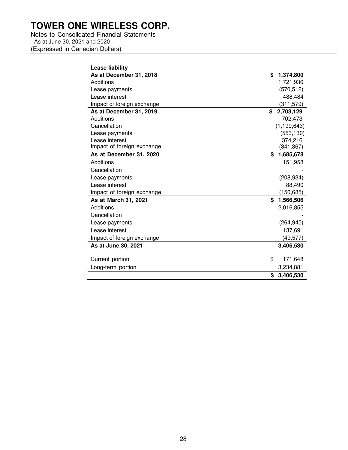Notes to Consolidated Financial Statements As at June 30, 2021 and 2020 (Expressed in Canadian Dollars)

| Lease liability            |                 |
|----------------------------|-----------------|
| As at December 31, 2018    | \$<br>1,374,800 |
| Additions                  | 1,721,936       |
| Lease payments             | (570, 512)      |
| Lease interest             | 488,484         |
| Impact of foreign exchange | (311, 579)      |
| As at December 31, 2019    | 2,703,129<br>\$ |
| Additions                  | 702,473         |
| Cancellation               | (1, 199, 643)   |
| Lease payments             | (553, 130)      |
| Lease interest             | 374,216         |
| Impact of foreign exchange | (341, 367)      |
| As at December 31, 2020    | \$<br>1,685,678 |
| Additions                  | 151,958         |
| Cancellation               |                 |
|                            |                 |
| Lease payments             | (208, 934)      |
| Lease interest             | 88,490          |
| Impact of foreign exchange | (150, 685)      |
| As at March 31, 2021       | \$<br>1,566,506 |
| Additions                  | 2,016,855       |
| Cancellation               |                 |
| Lease payments             | (264, 945)      |
| Lease interest             | 137,691         |
| Impact of foreign exchange | (49, 577)       |
| As at June 30, 2021        | 3,406,530       |
| Current portion            | \$<br>171,648   |
| Long-term portion          | 3,234,881       |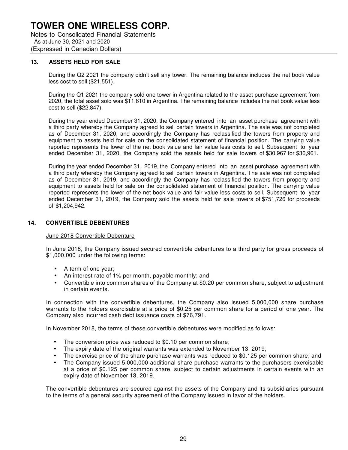Notes to Consolidated Financial Statements As at June 30, 2021 and 2020 (Expressed in Canadian Dollars)

### **13. ASSETS HELD FOR SALE**

During the Q2 2021 the company didn't sell any tower. The remaining balance includes the net book value less cost to sell (\$21,551).

During the Q1 2021 the company sold one tower in Argentina related to the asset purchase agreement from 2020, the total asset sold was \$11,610 in Argentina. The remaining balance includes the net book value less cost to sell (\$22,847).

During the year ended December 31, 2020, the Company entered into an asset purchase agreement with a third party whereby the Company agreed to sell certain towers in Argentina. The sale was not completed as of December 31, 2020, and accordingly the Company has reclassified the towers from property and equipment to assets held for sale on the consolidated statement of financial position. The carrying value reported represents the lower of the net book value and fair value less costs to sell. Subsequent to year ended December 31, 2020, the Company sold the assets held for sale towers of \$30,967 for \$36,961.

During the year ended December 31, 2019, the Company entered into an asset purchase agreement with a third party whereby the Company agreed to sell certain towers in Argentina. The sale was not completed as of December 31, 2019, and accordingly the Company has reclassified the towers from property and equipment to assets held for sale on the consolidated statement of financial position. The carrying value reported represents the lower of the net book value and fair value less costs to sell. Subsequent to year ended December 31, 2019, the Company sold the assets held for sale towers of \$751,726 for proceeds of \$1,204,942.

### **14. CONVERTIBLE DEBENTURES**

June 2018 Convertible Debenture

In June 2018, the Company issued secured convertible debentures to a third party for gross proceeds of \$1,000,000 under the following terms:

- A term of one year;
- An interest rate of 1% per month, payable monthly; and
- Convertible into common shares of the Company at \$0.20 per common share, subject to adjustment in certain events.

In connection with the convertible debentures, the Company also issued 5,000,000 share purchase warrants to the holders exercisable at a price of \$0.25 per common share for a period of one year. The Company also incurred cash debt issuance costs of \$76,791.

In November 2018, the terms of these convertible debentures were modified as follows:

- The conversion price was reduced to \$0.10 per common share;
- The expiry date of the original warrants was extended to November 13, 2019;
- The exercise price of the share purchase warrants was reduced to \$0.125 per common share; and
- The Company issued 5,000,000 additional share purchase warrants to the purchasers exercisable at a price of \$0.125 per common share, subject to certain adjustments in certain events with an expiry date of November 13, 2019.

The convertible debentures are secured against the assets of the Company and its subsidiaries pursuant to the terms of a general security agreement of the Company issued in favor of the holders.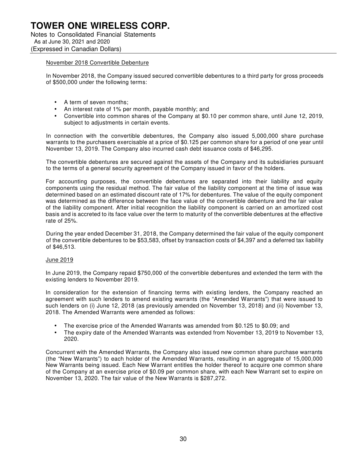#### November 2018 Convertible Debenture

In November 2018, the Company issued secured convertible debentures to a third party for gross proceeds of \$500,000 under the following terms:

- A term of seven months;
- An interest rate of 1% per month, payable monthly; and
- Convertible into common shares of the Company at \$0.10 per common share, until June 12, 2019, subject to adjustments in certain events.

In connection with the convertible debentures, the Company also issued 5,000,000 share purchase warrants to the purchasers exercisable at a price of \$0.125 per common share for a period of one year until November 13, 2019. The Company also incurred cash debt issuance costs of \$46,295.

The convertible debentures are secured against the assets of the Company and its subsidiaries pursuant to the terms of a general security agreement of the Company issued in favor of the holders.

For accounting purposes, the convertible debentures are separated into their liability and equity components using the residual method. The fair value of the liability component at the time of issue was determined based on an estimated discount rate of 17% for debentures. The value of the equity component was determined as the difference between the face value of the convertible debenture and the fair value of the liability component. After initial recognition the liability component is carried on an amortized cost basis and is accreted to its face value over the term to maturity of the convertible debentures at the effective rate of 25%.

During the year ended December 31, 2018, the Company determined the fair value of the equity component of the convertible debentures to be \$53,583, offset by transaction costs of \$4,397 and a deferred tax liability of \$46,513.

### June 2019

In June 2019, the Company repaid \$750,000 of the convertible debentures and extended the term with the existing lenders to November 2019.

In consideration for the extension of financing terms with existing lenders, the Company reached an agreement with such lenders to amend existing warrants (the "Amended Warrants") that were issued to such lenders on (i) June 12, 2018 (as previously amended on November 13, 2018) and (ii) November 13, 2018. The Amended Warrants were amended as follows:

- The exercise price of the Amended Warrants was amended from \$0.125 to \$0.09; and
- The expiry date of the Amended Warrants was extended from November 13, 2019 to November 13, 2020.

Concurrent with the Amended Warrants, the Company also issued new common share purchase warrants (the "New Warrants") to each holder of the Amended Warrants, resulting in an aggregate of 15,000,000 New Warrants being issued. Each New Warrant entitles the holder thereof to acquire one common share of the Company at an exercise price of \$0.09 per common share, with each New Warrant set to expire on November 13, 2020. The fair value of the New Warrants is \$287,272.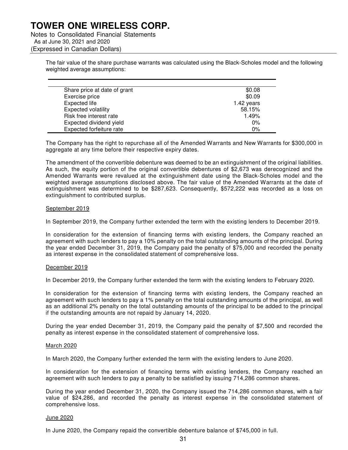Notes to Consolidated Financial Statements As at June 30, 2021 and 2020 (Expressed in Canadian Dollars)

> The fair value of the share purchase warrants was calculated using the Black-Scholes model and the following weighted average assumptions:

| Share price at date of grant | \$0.08     |
|------------------------------|------------|
| Exercise price               | \$0.09     |
| Expected life                | 1.42 years |
| <b>Expected volatility</b>   | 58.15%     |
| Risk free interest rate      | 1.49%      |
| Expected dividend yield      | $0\%$      |
| Expected forfeiture rate     | 0%         |

The Company has the right to repurchase all of the Amended Warrants and New Warrants for \$300,000 in aggregate at any time before their respective expiry dates.

The amendment of the convertible debenture was deemed to be an extinguishment of the original liabilities. As such, the equity portion of the original convertible debentures of \$2,673 was derecognized and the Amended Warrants were revalued at the extinguishment date using the Black-Scholes model and the weighted average assumptions disclosed above. The fair value of the Amended Warrants at the date of extinguishment was determined to be \$287,623. Consequently, \$572,222 was recorded as a loss on extinguishment to contributed surplus.

#### September 2019

In September 2019, the Company further extended the term with the existing lenders to December 2019.

In consideration for the extension of financing terms with existing lenders, the Company reached an agreement with such lenders to pay a 10% penalty on the total outstanding amounts of the principal. During the year ended December 31, 2019, the Company paid the penalty of \$75,000 and recorded the penalty as interest expense in the consolidated statement of comprehensive loss.

### December 2019

In December 2019, the Company further extended the term with the existing lenders to February 2020.

In consideration for the extension of financing terms with existing lenders, the Company reached an agreement with such lenders to pay a 1% penalty on the total outstanding amounts of the principal, as well as an additional 2% penalty on the total outstanding amounts of the principal to be added to the principal if the outstanding amounts are not repaid by January 14, 2020.

During the year ended December 31, 2019, the Company paid the penalty of \$7,500 and recorded the penalty as interest expense in the consolidated statement of comprehensive loss.

#### March 2020

In March 2020, the Company further extended the term with the existing lenders to June 2020.

In consideration for the extension of financing terms with existing lenders, the Company reached an agreement with such lenders to pay a penalty to be satisfied by issuing 714,286 common shares.

During the year ended December 31, 2020, the Company issued the 714,286 common shares, with a fair value of \$24,286, and recorded the penalty as interest expense in the consolidated statement of comprehensive loss.

#### June 2020

In June 2020, the Company repaid the convertible debenture balance of \$745,000 in full.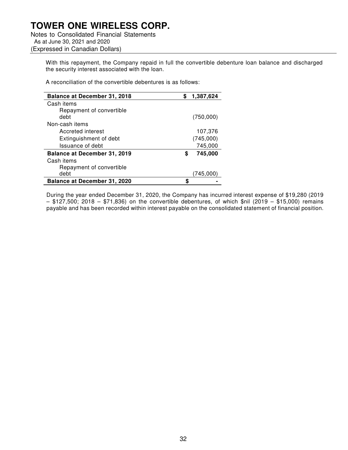Notes to Consolidated Financial Statements As at June 30, 2021 and 2020 (Expressed in Canadian Dollars)

> With this repayment, the Company repaid in full the convertible debenture loan balance and discharged the security interest associated with the loan.

A reconciliation of the convertible debentures is as follows:

| <b>Balance at December 31, 2018</b> | 1,387,624    |
|-------------------------------------|--------------|
| Cash items                          |              |
| Repayment of convertible            |              |
| debt                                | (750,000)    |
| Non-cash items                      |              |
| Accreted interest                   | 107,376      |
| Extinguishment of debt              | (745,000)    |
| Issuance of debt                    | 745,000      |
| Balance at December 31, 2019        | 745,000<br>S |
| Cash items                          |              |
| Repayment of convertible            |              |
| debt                                | (745.000     |
| Balance at December 31, 2020        |              |

During the year ended December 31, 2020, the Company has incurred interest expense of \$19,280 (2019 – \$127,500; 2018 – \$71,836) on the convertible debentures, of which \$nil (2019 – \$15,000) remains payable and has been recorded within interest payable on the consolidated statement of financial position.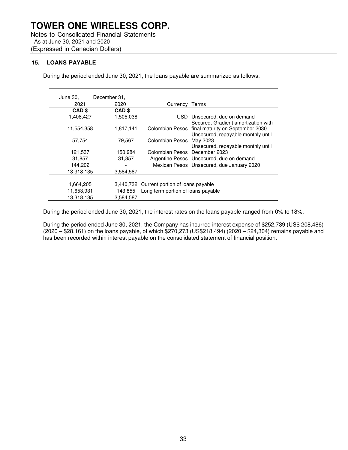Notes to Consolidated Financial Statements As at June 30, 2021 and 2020 (Expressed in Canadian Dollars)

### **15. LOANS PAYABLE**

During the period ended June 30, 2021, the loans payable are summarized as follows:

| June 30,          | December 31,      |                                            |                                                                                        |
|-------------------|-------------------|--------------------------------------------|----------------------------------------------------------------------------------------|
| 2021              | 2020              | Currency Terms                             |                                                                                        |
| CAD <sub>\$</sub> | CAD <sub>\$</sub> |                                            |                                                                                        |
| 1,408,427         | 1,505,038         |                                            | USD Unsecured, due on demand<br>Secured, Gradient amortization with                    |
| 11,554,358        | 1,817,141         |                                            | Colombian Pesos final maturity on September 2030<br>Unsecured, repayable monthly until |
| 57,754            | 79,567            | Colombian Pesos May 2023                   | Unsecured, repayable monthly until                                                     |
| 121,537           | 150,984           | Colombian Pesos December 2023              |                                                                                        |
| 31,857            | 31,857            |                                            | Argentine Pesos Unsecured, due on demand                                               |
| 144,202           |                   |                                            | Mexican Pesos Unsecured, due January 2020                                              |
| 13,318,135        | 3,584,587         |                                            |                                                                                        |
|                   |                   |                                            |                                                                                        |
| 1,664,205         |                   | 3,440,732 Current portion of loans payable |                                                                                        |
| 11,653,931        | 143.855           | Long term portion of loans payable         |                                                                                        |
| 13,318,135        | 3,584,587         |                                            |                                                                                        |

During the period ended June 30, 2021, the interest rates on the loans payable ranged from 0% to 18%.

During the period ended June 30, 2021, the Company has incurred interest expense of \$252,739 (US\$ 208,486) (2020 – \$28,161) on the loans payable, of which \$270,273 (US\$218,494) (2020 – \$24,304) remains payable and has been recorded within interest payable on the consolidated statement of financial position.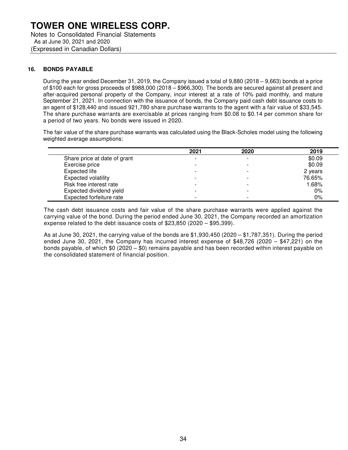As at June 30, 2021 and 2020 (Expressed in Canadian Dollars)

### **16. BONDS PAYABLE**

During the year ended December 31, 2019, the Company issued a total of 9,880 (2018 – 9,663) bonds at a price of \$100 each for gross proceeds of \$988,000 (2018 – \$966,300). The bonds are secured against all present and after-acquired personal property of the Company, incur interest at a rate of 10% paid monthly, and mature September 21, 2021. In connection with the issuance of bonds, the Company paid cash debt issuance costs to an agent of \$128,440 and issued 921,780 share purchase warrants to the agent with a fair value of \$33,545. The share purchase warrants are exercisable at prices ranging from \$0.08 to \$0.14 per common share for a period of two years. No bonds were issued in 2020.

The fair value of the share purchase warrants was calculated using the Black-Scholes model using the following weighted average assumptions:

|                              | 2021                     | 2020                     | 2019    |
|------------------------------|--------------------------|--------------------------|---------|
| Share price at date of grant |                          |                          | \$0.09  |
| Exercise price               |                          |                          | \$0.09  |
| Expected life                |                          |                          | 2 years |
| Expected volatility          |                          |                          | 76.65%  |
| Risk free interest rate      |                          |                          | 1.68%   |
| Expected dividend yield      |                          |                          | 0%      |
| Expected forfeiture rate     | $\overline{\phantom{0}}$ | $\overline{\phantom{0}}$ | 0%      |

The cash debt issuance costs and fair value of the share purchase warrants were applied against the carrying value of the bond. During the period ended June 30, 2021, the Company recorded an amortization expense related to the debt issuance costs of \$23,850 (2020 – \$95,399).

As at June 30, 2021, the carrying value of the bonds are \$1,930,450 (2020 – \$1,787,351). During the period ended June 30, 2021, the Company has incurred interest expense of \$48,726 (2020 – \$47,221) on the bonds payable, of which \$0 (2020 – \$0) remains payable and has been recorded within interest payable on the consolidated statement of financial position.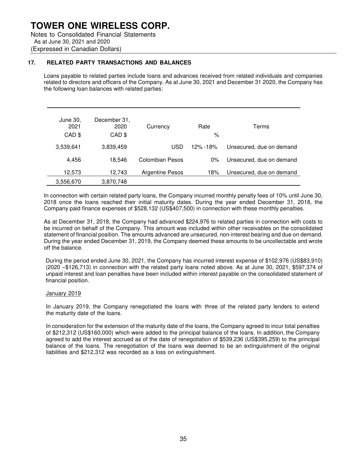Notes to Consolidated Financial Statements As at June 30, 2021 and 2020 (Expressed in Canadian Dollars)

### **17. RELATED PARTY TRANSACTIONS AND BALANCES**

Loans payable to related parties include loans and advances received from related individuals and companies related to directors and officers of the Company. As at June 30, 2021 and December 31 2020, the Company has the following loan balances with related parties:

| June 30,<br>2021<br>CAD \$ | December 31,<br>2020<br>CAD \$ | Currency               | Rate<br>%       | Terms                    |
|----------------------------|--------------------------------|------------------------|-----------------|--------------------------|
| 3,539,641                  | 3,839,459                      | USD                    | <u>12% -18%</u> | Unsecured, due on demand |
| 4,456                      | 18.546                         | Colombian Pesos        | $0\%$           | Unsecured, due on demand |
| 12,573                     | 12,743                         | <b>Argentine Pesos</b> | 18%             | Unsecured, due on demand |
| 3,556,670                  | 3,870,748                      |                        |                 |                          |

In connection with certain related party loans, the Company incurred monthly penalty fees of 10% until June 30, 2018 once the loans reached their initial maturity dates. During the year ended December 31, 2018, the Company paid finance expenses of \$528,132 (US\$407,500) in connection with these monthly penalties.

As at December 31, 2018, the Company had advanced \$224,976 to related parties in connection with costs to be incurred on behalf of the Company. This amount was included within other receivables on the consolidated statement of financial position. The amounts advanced are unsecured, non-interest bearing and due on demand. During the year ended December 31, 2019, the Company deemed these amounts to be uncollectable and wrote off the balance.

During the period ended June 30, 2021, the Company has incurred interest expense of \$102,976 (US\$83,910) (2020 –\$126,713) in connection with the related party loans noted above. As at June 30, 2021, \$597,374 of unpaid interest and loan penalties have been included within interest payable on the consolidated statement of financial position.

### January 2019

In January 2019, the Company renegotiated the loans with three of the related party lenders to extend the maturity date of the loans.

In consideration for the extension of the maturity date of the loans, the Company agreed to incur total penalties of \$212,312 (US\$160,000) which were added to the principal balance of the loans. In addition, the Company agreed to add the interest accrued as of the date of renegotiation of \$539,236 (US\$395,259) to the principal balance of the loans. The renegotiation of the loans was deemed to be an extinguishment of the original liabilities and \$212,312 was recorded as a loss on extinguishment.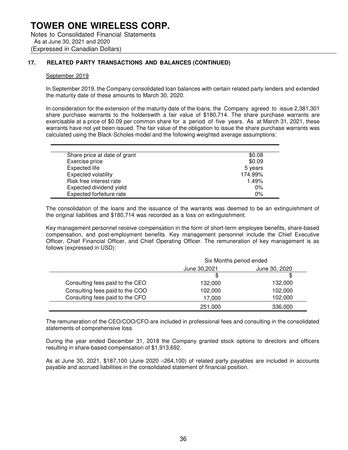### **17. RELATED PARTY TRANSACTIONS AND BALANCES (CONTINUED)**

#### September 2019

In September 2019, the Company consolidated loan balances with certain related party lenders and extended the maturity date of these amounts to March 30, 2020.

In consideration for the extension of the maturity date of the loans, the Company agreed to issue 2,381,301 share purchase warrants to the holderswith a fair value of \$180,714. The share purchase warrants are exercisable at a price of \$0.09 per common share for a period of five years. As at March 31, 2021, these warrants have not yet been issued. The fair value of the obligation to issue the share purchase warrants was calculated using the Black-Scholes model and the following weighted average assumptions:

| Share price at date of grant | \$0.08  |
|------------------------------|---------|
| Exercise price               | \$0.09  |
| Expected life                | 5 years |
| <b>Expected volatility</b>   | 174.99% |
| Risk free interest rate      | 1.49%   |
| Expected dividend yield      | $0\%$   |
| Expected forfeiture rate     | 0%      |

The consolidation of the loans and the issuance of the warrants was deemed to be an extinguishment of the original liabilities and \$180,714 was recorded as a loss on extinguishment.

Key management personnel receive compensation in the form of short-term employee benefits, share-based compensation, and post-employment benefits. Key management personnel include the Chief Executive Officer, Chief Financial Officer, and Chief Operating Officer. The remuneration of key management is as follows (expressed in USD):

|                                 | Six Months period ended |               |
|---------------------------------|-------------------------|---------------|
|                                 | June 30,2021            | June 30, 2020 |
|                                 | Ж                       |               |
| Consulting fees paid to the CEO | 132,000                 | 132,000       |
| Consulting fees paid to the COO | 102,000                 | 102,000       |
| Consulting fees paid to the CFO | 17,000                  | 102,000       |
|                                 | 251,000                 | 336,000       |

The remuneration of the CEO/COO/CFO are included in professional fees and consulting in the consolidated statements of comprehensive loss.

During the year ended December 31, 2018 the Company granted stock options to directors and officers resulting in share-based compensation of \$1,913,692.

As at June 30, 2021, \$187,100 (June 2020 –264,100) of related party payables are included in accounts payable and accrued liabilities in the consolidated statement of financial position.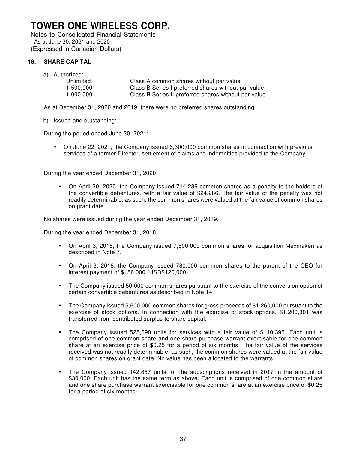Notes to Consolidated Financial Statements As at June 30, 2021 and 2020 (Expressed in Canadian Dollars)

### **18. SHARE CAPITAL**

a) Authorized:

| Unlimited | Class A common shares without par value              |
|-----------|------------------------------------------------------|
| 1.500.000 | Class B Series I preferred shares without par value  |
| 1,000,000 | Class B Series II preferred shares without par value |

As at December 31, 2020 and 2019, there were no preferred shares outstanding.

### b) Issued and outstanding:

During the period ended June 30, 2021:

• On June 22, 2021, the Company issued 6,300,000 common shares in connection with previous services of a former Director, settlement of claims and indemnities provided to the Company.

During the year ended December 31, 2020:

• On April 30, 2020, the Company issued 714,286 common shares as a penalty to the holders of the convertible debentures, with a fair value of \$24,286. The fair value of the penalty was not readily determinable, as such, the common shares were valued at the fair value of common shares on grant date.

No shares were issued during the year ended December 31, 2019.

During the year ended December 31, 2018:

- On April 3, 2018, the Company issued 7,500,000 common shares for acquisition Mexmaken as described in Note 7.
- On April 3, 2018, the Company issued 780,000 common shares to the parent of the CEO for interest payment of \$156,000 (USD\$120,000).
- The Company issued 50,000 common shares pursuant to the exercise of the conversion option of certain convertible debentures as described in Note 14.
- The Company issued 5,600,000 common shares for gross proceeds of \$1,260,000 pursuant to the exercise of stock options. In connection with the exercise of stock options, \$1,200,301 was transferred from contributed surplus to share capital.
- The Company issued 525,690 units for services with a fair value of \$110,395. Each unit is comprised of one common share and one share purchase warrant exercisable for one common share at an exercise price of \$0.25 for a period of six months. The fair value of the services received was not readily determinable, as such, the common shares were valued at the fair value of common shares on grant date. No value has been allocated to the warrants.
- The Company issued 142,857 units for the subscriptions received in 2017 in the amount of \$30,000. Each unit has the same term as above. Each unit is comprised of one common share and one share purchase warrant exercisable for one common share at an exercise price of \$0.25 for a period of six months.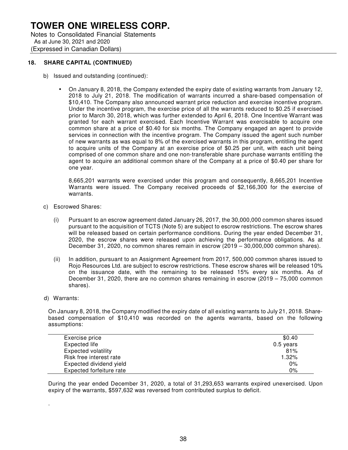Notes to Consolidated Financial Statements As at June 30, 2021 and 2020 (Expressed in Canadian Dollars)

### **18. SHARE CAPITAL (CONTINUED)**

- b) Issued and outstanding (continued):
	- On January 8, 2018, the Company extended the expiry date of existing warrants from January 12, 2018 to July 21, 2018. The modification of warrants incurred a share-based compensation of \$10,410. The Company also announced warrant price reduction and exercise incentive program. Under the incentive program, the exercise price of all the warrants reduced to \$0.25 if exercised prior to March 30, 2018, which was further extended to April 6, 2018. One Incentive Warrant was granted for each warrant exercised. Each Incentive Warrant was exercisable to acquire one common share at a price of \$0.40 for six months. The Company engaged an agent to provide services in connection with the incentive program. The Company issued the agent such number of new warrants as was equal to 8% of the exercised warrants in this program, entitling the agent to acquire units of the Company at an exercise price of \$0.25 per unit, with each unit being comprised of one common share and one non-transferable share purchase warrants entitling the agent to acquire an additional common share of the Company at a price of \$0.40 per share for one year.

8,665,201 warrants were exercised under this program and consequently, 8,665,201 Incentive Warrants were issued. The Company received proceeds of \$2,166,300 for the exercise of warrants.

- c) Escrowed Shares:
	- (i) Pursuant to an escrow agreement dated January 26, 2017, the 30,000,000 common shares issued pursuant to the acquisition of TCTS (Note 5) are subject to escrow restrictions. The escrow shares will be released based on certain performance conditions. During the year ended December 31, 2020, the escrow shares were released upon achieving the performance obligations. As at December 31, 2020, no common shares remain in escrow (2019 – 30,000,000 common shares).
	- (ii) In addition, pursuant to an Assignment Agreement from 2017, 500,000 common shares issued to Rojo Resources Ltd. are subject to escrow restrictions. These escrow shares will be released 10% on the issuance date, with the remaining to be released 15% every six months. As of December 31, 2020, there are no common shares remaining in escrow (2019 – 75,000 common shares).
- d) Warrants:

.

On January 8, 2018, the Company modified the expiry date of all existing warrants to July 21, 2018. Sharebased compensation of \$10,410 was recorded on the agents warrants, based on the following assumptions:

| Exercise price             | \$0.40      |
|----------------------------|-------------|
| Expected life              | $0.5$ years |
| <b>Expected volatility</b> | 81%         |
| Risk free interest rate    | 1.32%       |
| Expected dividend yield    | 0%          |
| Expected forfeiture rate   | 0%          |

During the year ended December 31, 2020, a total of 31,293,653 warrants expired unexercised. Upon expiry of the warrants, \$597,632 was reversed from contributed surplus to deficit.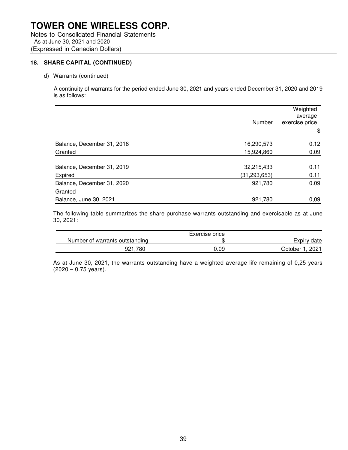Notes to Consolidated Financial Statements As at June 30, 2021 and 2020 (Expressed in Canadian Dollars)

### **18. SHARE CAPITAL (CONTINUED)**

d) Warrants (continued)

A continuity of warrants for the period ended June 30, 2021 and years ended December 31, 2020 and 2019 is as follows:

|                            |                | Weighted<br>average |
|----------------------------|----------------|---------------------|
|                            | Number         | exercise price      |
|                            |                | \$                  |
| Balance, December 31, 2018 | 16,290,573     | 0.12                |
| Granted                    | 15,924,860     | 0.09                |
| Balance, December 31, 2019 | 32,215,433     | 0.11                |
| Expired                    | (31, 293, 653) | 0.11                |
| Balance, December 31, 2020 | 921,780        | 0.09                |
| Granted                    |                |                     |
| Balance, June 30, 2021     | 921,780        | 0,09                |

The following table summarizes the share purchase warrants outstanding and exercisable as at June 30, 2021:

|                                | Exercise price |                     |
|--------------------------------|----------------|---------------------|
| Number of warrants outstanding |                | Expiry date         |
| 921.780                        | 0.09           | . 2021<br>⊃ctober ∶ |

As at June 30, 2021, the warrants outstanding have a weighted average life remaining of 0,25 years  $(2020 - 0.75 \text{ years}).$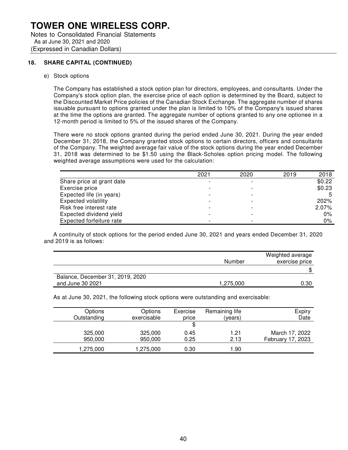Notes to Consolidated Financial Statements As at June 30, 2021 and 2020 (Expressed in Canadian Dollars)

### **18. SHARE CAPITAL (CONTINUED)**

e) Stock options

The Company has established a stock option plan for directors, employees, and consultants. Under the Company's stock option plan, the exercise price of each option is determined by the Board, subject to the Discounted Market Price policies of the Canadian Stock Exchange. The aggregate number of shares issuable pursuant to options granted under the plan is limited to 10% of the Company's issued shares at the time the options are granted. The aggregate number of options granted to any one optionee in a 12-month period is limited to 5% of the issued shares of the Company.

There were no stock options granted during the period ended June 30, 2021. During the year ended December 31, 2018, the Company granted stock options to certain directors, officers and consultants of the Company. The weighted average fair value of the stock options during the year ended December 31, 2018 was determined to be \$1.50 using the Black-Scholes option pricing model. The following weighted average assumptions were used for the calculation:

|                            | 2021 | 2020 | 2019 | 2018   |
|----------------------------|------|------|------|--------|
| Share price at grant date  |      |      |      | \$0.22 |
| Exercise price             |      |      |      | \$0.23 |
| Expected life (in years)   |      |      |      |        |
| <b>Expected volatility</b> |      |      |      | 202%   |
| Risk free interest rate    |      |      |      | 2.07%  |
| Expected dividend yield    |      |      |      | 0%     |
| Expected forfeiture rate   |      |      |      | $0\%$  |

A continuity of stock options for the period ended June 30, 2021 and years ended December 31, 2020 and 2019 is as follows:

|                                  |           | Weighted average |
|----------------------------------|-----------|------------------|
|                                  | Number    | exercise price   |
|                                  |           |                  |
| Balance, December 31, 2019, 2020 |           |                  |
| and June 30 2021                 | 1,275,000 | 0.30             |

As at June 30, 2021, the following stock options were outstanding and exercisable:

| Options     | <b>Options</b> | Exercise | Remaining life | Expiry            |
|-------------|----------------|----------|----------------|-------------------|
| Outstanding | exercisable    | price    | (years)        | Date              |
|             |                | \$       |                |                   |
| 325,000     | 325,000        | 0.45     | 1.21           | March 17, 2022    |
| 950,000     | 950,000        | 0.25     | 2.13           | February 17, 2023 |
| 1,275,000   | 1,275,000      | 0.30     | 1.90           |                   |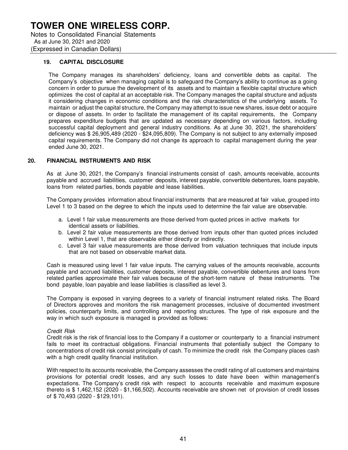Notes to Consolidated Financial Statements As at June 30, 2021 and 2020 (Expressed in Canadian Dollars)

### **19. CAPITAL DISCLOSURE**

The Company manages its shareholders' deficiency, loans and convertible debts as capital. The Company's objective when managing capital is to safeguard the Company's ability to continue as a going concern in order to pursue the development of its assets and to maintain a flexible capital structure which optimizes the cost of capital at an acceptable risk. The Company manages the capital structure and adjusts it considering changes in economic conditions and the risk characteristics of the underlying assets. To maintain or adjust the capital structure, the Company may attempt to issue new shares, issue debt or acquire or dispose of assets. In order to facilitate the management of its capital requirements, the Company prepares expenditure budgets that are updated as necessary depending on various factors, including successful capital deployment and general industry conditions. As at June 30, 2021, the shareholders' deficiency was \$ 26,905,489 (2020 - \$24,095,809). The Company is not subject to any externally imposed capital requirements. The Company did not change its approach to capital management during the year ended June 30, 2021.

### **20. FINANCIAL INSTRUMENTS AND RISK**

As at June 30, 2021, the Company's financial instruments consist of cash, amounts receivable, accounts payable and accrued liabilities, customer deposits, interest payable, convertible debentures, loans payable, loans from related parties, bonds payable and lease liabilities.

The Company provides information about financial instruments that are measured at fair value, grouped into Level 1 to 3 based on the degree to which the inputs used to determine the fair value are observable.

- a. Level 1 fair value measurements are those derived from quoted prices in active markets for identical assets or liabilities.
- b. Level 2 fair value measurements are those derived from inputs other than quoted prices included within Level 1, that are observable either directly or indirectly.
- c. Level 3 fair value measurements are those derived from valuation techniques that include inputs that are not based on observable market data.

Cash is measured using level 1 fair value inputs. The carrying values of the amounts receivable, accounts payable and accrued liabilities, customer deposits, interest payable, convertible debentures and loans from related parties approximate their fair values because of the short-term nature of these instruments. The bond payable, loan payable and lease liabilities is classified as level 3.

The Company is exposed in varying degrees to a variety of financial instrument related risks. The Board of Directors approves and monitors the risk management processes, inclusive of documented investment policies, counterparty limits, and controlling and reporting structures. The type of risk exposure and the way in which such exposure is managed is provided as follows:

### Credit Risk

Credit risk is the risk of financial loss to the Company if a customer or counterparty to a financial instrument fails to meet its contractual obligations. Financial instruments that potentially subject the Company to concentrations of credit risk consist principally of cash. To minimize the credit risk the Company places cash with a high credit quality financial institution.

With respect to its accounts receivable, the Company assesses the credit rating of all customers and maintains provisions for potential credit losses, and any such losses to date have been within management's expectations. The Company's credit risk with respect to accounts receivable and maximum exposure thereto is \$ 1,462,152 (2020 - \$1,166,502). Accounts receivable are shown net of provision of credit losses of \$ 70,493 (2020 - \$129,101).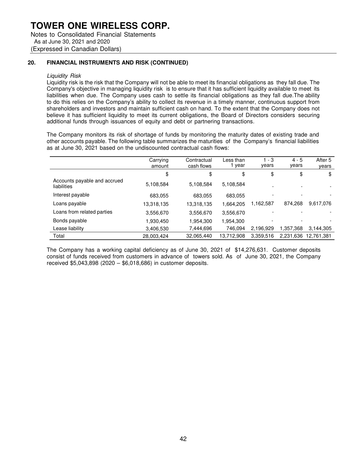Notes to Consolidated Financial Statements As at June 30, 2021 and 2020 (Expressed in Canadian Dollars)

### **20. FINANCIAL INSTRUMENTS AND RISK (CONTINUED)**

#### Liquidity Risk

Liquidity risk is the risk that the Company will not be able to meet its financial obligations as they fall due. The Company's objective in managing liquidity risk is to ensure that it has sufficient liquidity available to meet its liabilities when due. The Company uses cash to settle its financial obligations as they fall due. The ability to do this relies on the Company's ability to collect its revenue in a timely manner, continuous support from shareholders and investors and maintain sufficient cash on hand. To the extent that the Company does not believe it has sufficient liquidity to meet its current obligations, the Board of Directors considers securing additional funds through issuances of equity and debt or partnering transactions.

The Company monitors its risk of shortage of funds by monitoring the maturity dates of existing trade and other accounts payable. The following table summarizes the maturities of the Company's financial liabilities as at June 30, 2021 based on the undiscounted contractual cash flows:

|                                             | Carrying<br>amount | Contractual<br>cash flows | Less than<br>year | $1 - 3$<br>years         | $4 - 5$<br>years | After 5<br>years |
|---------------------------------------------|--------------------|---------------------------|-------------------|--------------------------|------------------|------------------|
|                                             | \$                 | \$                        | \$                | \$                       | \$               | \$               |
| Accounts payable and accrued<br>liabilities | 5,108,584          | 5,108,584                 | 5,108,584         |                          |                  |                  |
| Interest payable                            | 683,055            | 683,055                   | 683,055           |                          |                  |                  |
| Loans payable                               | 13,318,135         | 13,318,135                | 1,664,205         | 1,162,587                | 874,268          | 9,617,076        |
| Loans from related parties                  | 3,556,670          | 3,556,670                 | 3,556,670         |                          |                  |                  |
| Bonds payable                               | 1,930,450          | 1,954,300                 | 1,954,300         | $\overline{\phantom{0}}$ |                  |                  |
| Lease liability                             | 3,406,530          | 7,444,696                 | 746.094           | 2.196.929                | 1.357.368        | 3.144.305        |
| Total                                       | 28,003,424         | 32,065,440                | 13,712,908        | 3,359,516                | 2,231,636        | 12.761.381       |

The Company has a working capital deficiency as of June 30, 2021 of \$14,276,631. Customer deposits consist of funds received from customers in advance of towers sold. As of June 30, 2021, the Company received \$5,043,898 (2020 – \$6,018,686) in customer deposits.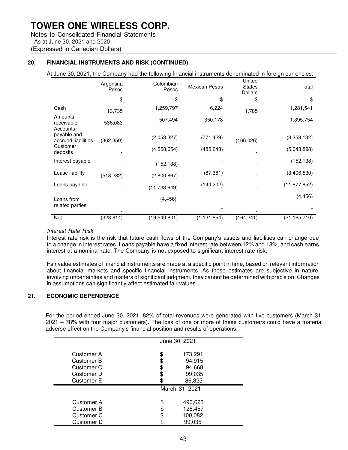Notes to Consolidated Financial Statements As at June 30, 2021 and 2020 (Expressed in Canadian Dollars)

### **20. FINANCIAL INSTRUMENTS AND RISK (CONTINUED)**

At June 30, 2021, the Company had the following financial instruments denominated in foreign currencies:

|                                    | Argentina<br>Pesos | Colombian<br>Pesos | <b>Mexican Pesos</b> | United<br><b>States</b><br><b>Dollars</b> | Total          |
|------------------------------------|--------------------|--------------------|----------------------|-------------------------------------------|----------------|
|                                    | \$                 | \$                 | \$                   | \$                                        | \$             |
| Cash                               | 13,735             | 1,259,797          | 6,224                | 1,785                                     | 1,281,541      |
| Amounts<br>receivable<br>Accounts  | 538,083            | 507,494            | 350,178              |                                           | 1,395,754      |
| payable and<br>accrued liabilities | (362, 350)         | (2,058,327)        | (771, 429)           | (166, 026)                                | (3,358,132)    |
| Customer<br>deposits               |                    | (4,558,654)        | (485, 243)           |                                           | (5,043,898)    |
| Interest payable                   |                    | (152, 138)         |                      |                                           | (152, 138)     |
| Lease liability                    | (518, 282)         | (2,800,867)        | (87, 381)            |                                           | (3,406,530)    |
| Loans payable                      |                    | (11, 733, 649)     | (144, 202)           |                                           | (11, 877, 852) |
| Loans from<br>related parties      |                    | (4, 456)           |                      |                                           | (4, 456)       |
| Net                                | (328,814)          | (19,540,801)       | (1, 131, 854)        | (164,241)                                 | (21, 165, 710) |

### Interest Rate Risk

Interest rate risk is the risk that future cash flows of the Company's assets and liabilities can change due to a change in interest rates. Loans payable have a fixed interest rate between 12% and 18%, and cash earns interest at a nominal rate. The Company is not exposed to significant interest rate risk.

Fair value estimates of financial instruments are made at a specific point in time, based on relevant information about financial markets and specific financial instruments. As these estimates are subjective in nature, involving uncertainties and matters of significant judgment, they cannot be determined with precision. Changes in assumptions can significantly affect estimated fair values.

### **21. ECONOMIC DEPENDENCE**

For the period ended June 30, 2021, 82% of total revenues were generated with five customers (March 31, 2021 – 78% with four major customers). The loss of one or more of these customers could have a material adverse effect on the Company's financial position and results of operations.

|                                                                    | June 30, 2021                         |
|--------------------------------------------------------------------|---------------------------------------|
| <b>Customer A</b><br><b>Customer B</b><br>Customer C<br>Customer D | 173,291<br>94,915<br>94,668<br>99,035 |
| <b>Customer E</b>                                                  | 86,323                                |
|                                                                    | March 31, 2021                        |
| Customer A                                                         | 496,623                               |
| <b>Customer B</b>                                                  | 125,457                               |
| Customer C                                                         | 100,082                               |
| Customer D                                                         | 99,035                                |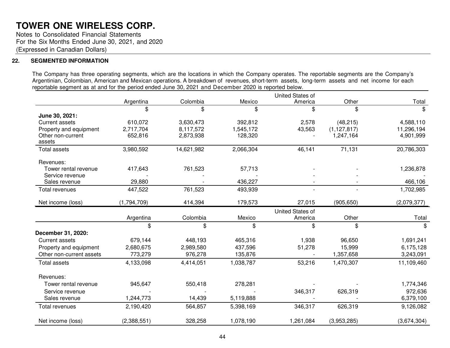Notes to Consolidated Financial Statements For the Six Months Ended June 30, 2021, and 2020 (Expressed in Canadian Dollars)

### **22. SEGMENTED INFORMATION**

The Company has three operating segments, which are the locations in which the Company operates. The reportable segments are the Company's Argentinian, Colombian, American and Mexican operations. A breakdown of revenues, short-term assets, long-term assets and net income for each reportable segment as at and for the period ended June 30, 2021 and December 2020 is reported below.

|                             |             |            |           | United States of        |               |                |
|-----------------------------|-------------|------------|-----------|-------------------------|---------------|----------------|
|                             | Argentina   | Colombia   | Mexico    | America                 | Other         | Total          |
|                             | \$          | \$         | \$        | \$                      | \$            | $\mathfrak{F}$ |
| June 30, 2021:              |             |            |           |                         |               |                |
| <b>Current assets</b>       | 610,072     | 3,630,473  | 392,812   | 2,578                   | (48, 215)     | 4,588,110      |
| Property and equipment      | 2,717,704   | 8,117,572  | 1,545,172 | 43,563                  | (1, 127, 817) | 11,296,194     |
| Other non-current<br>assets | 652,816     | 2,873,938  | 128,320   |                         | 1,247,164     | 4,901,999      |
| Total assets                | 3,980,592   | 14,621,982 | 2,066,304 | 46,141                  | 71,131        | 20,786,303     |
| Revenues:                   |             |            |           |                         |               |                |
| Tower rental revenue        | 417,643     | 761,523    | 57,713    |                         |               | 1,236,878      |
| Service revenue             |             |            |           |                         |               |                |
| Sales revenue               | 29,880      |            | 436,227   |                         |               | 466,106        |
| Total revenues              | 447,522     | 761,523    | 493,939   |                         |               | 1,702,985      |
| Net income (loss)           | (1,794,709) | 414,394    | 179,573   | 27,015                  | (905, 650)    | (2,079,377)    |
|                             |             |            |           | <b>United States of</b> |               |                |
|                             | Argentina   | Colombia   | Mexico    | America                 | Other         | Total          |
|                             | \$          | \$         | \$        | \$                      | \$            | \$             |
| December 31, 2020:          |             |            |           |                         |               |                |
| <b>Current assets</b>       | 679,144     | 448,193    | 465,316   | 1,938                   | 96,650        | 1,691,241      |
| Property and equipment      | 2,680,675   | 2,989,580  | 437,596   | 51,278                  | 15,999        | 6,175,128      |
| Other non-current assets    | 773,279     | 976,278    | 135,876   |                         | 1,357,658     | 3,243,091      |
| <b>Total assets</b>         | 4,133,098   | 4,414,051  | 1,038,787 | 53,216                  | 1,470,307     | 11,109,460     |
| Revenues:                   |             |            |           |                         |               |                |
| Tower rental revenue        | 945,647     | 550,418    | 278,281   |                         |               | 1,774,346      |
| Service revenue             |             |            |           | 346,317                 | 626,319       | 972,636        |
| Sales revenue               | 1,244,773   | 14,439     | 5,119,888 |                         |               | 6,379,100      |
| Total revenues              | 2,190,420   | 564,857    | 5,398,169 | 346,317                 | 626,319       | 9,126,082      |
| Net income (loss)           | (2,388,551) | 328,258    | 1,078,190 | 1,261,084               | (3,953,285)   | (3,674,304)    |